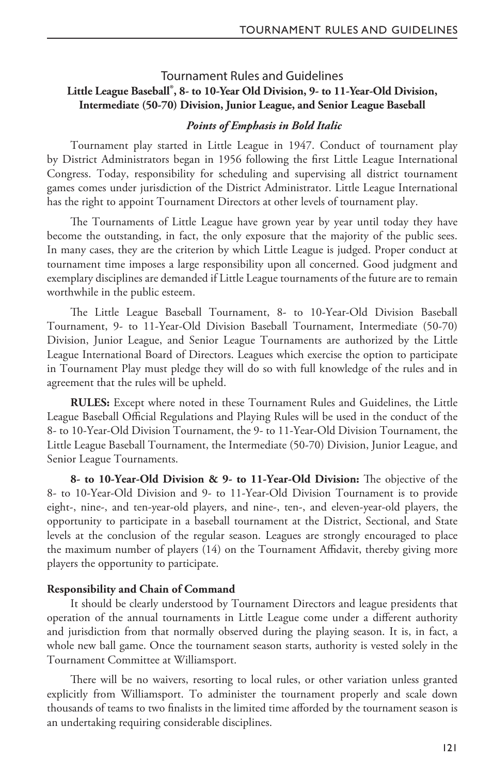## Tournament Rules and Guidelines **Little League Baseball®, 8- to 10-Year Old Division, 9- to 11-Year-Old Division, Intermediate (50-70) Division, Junior League, and Senior League Baseball**

### *Points of Emphasis in Bold Italic*

Tournament play started in Little League in 1947. Conduct of tournament play by District Administrators began in 1956 following the first Little League International Congress. Today, responsibility for scheduling and supervising all district tournament games comes under jurisdiction of the District Administrator. Little League International has the right to appoint Tournament Directors at other levels of tournament play.

The Tournaments of Little League have grown year by year until today they have become the outstanding, in fact, the only exposure that the majority of the public sees. In many cases, they are the criterion by which Little League is judged. Proper conduct at tournament time imposes a large responsibility upon all concerned. Good judgment and exemplary disciplines are demanded if Little League tournaments of the future are to remain worthwhile in the public esteem.

The Little League Baseball Tournament, 8- to 10-Year-Old Division Baseball Tournament, 9- to 11-Year-Old Division Baseball Tournament, Intermediate (50-70) Division, Junior League, and Senior League Tournaments are authorized by the Little League International Board of Directors. Leagues which exercise the option to participate in Tournament Play must pledge they will do so with full knowledge of the rules and in agreement that the rules will be upheld.

**RULES:** Except where noted in these Tournament Rules and Guidelines, the Little League Baseball Official Regulations and Playing Rules will be used in the conduct of the 8- to 10-Year-Old Division Tournament, the 9- to 11-Year-Old Division Tournament, the Little League Baseball Tournament, the Intermediate (50-70) Division, Junior League, and Senior League Tournaments.

**8- to 10-Year-Old Division & 9- to 11-Year-Old Division:** The objective of the 8- to 10-Year-Old Division and 9- to 11-Year-Old Division Tournament is to provide eight-, nine-, and ten-year-old players, and nine-, ten-, and eleven-year-old players, the opportunity to participate in a baseball tournament at the District, Sectional, and State levels at the conclusion of the regular season. Leagues are strongly encouraged to place the maximum number of players (14) on the Tournament Affidavit, thereby giving more players the opportunity to participate.

### **Responsibility and Chain of Command**

It should be clearly understood by Tournament Directors and league presidents that operation of the annual tournaments in Little League come under a different authority and jurisdiction from that normally observed during the playing season. It is, in fact, a whole new ball game. Once the tournament season starts, authority is vested solely in the Tournament Committee at Williamsport.

There will be no waivers, resorting to local rules, or other variation unless granted explicitly from Williamsport. To administer the tournament properly and scale down thousands of teams to two finalists in the limited time afforded by the tournament season is an undertaking requiring considerable disciplines.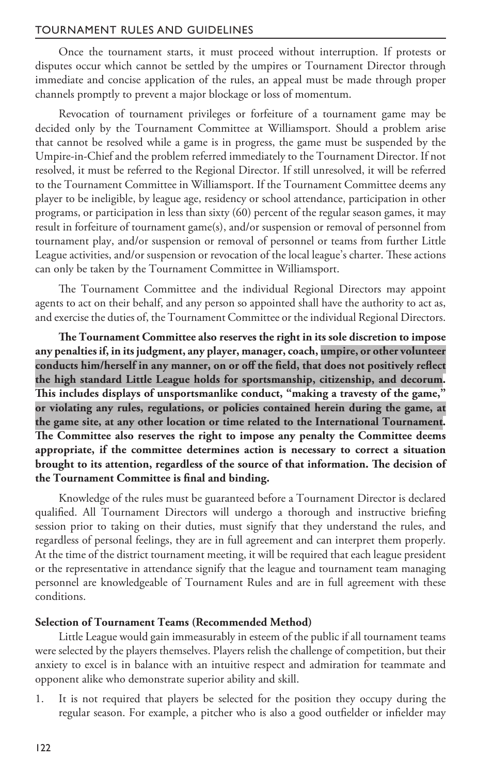Once the tournament starts, it must proceed without interruption. If protests or disputes occur which cannot be settled by the umpires or Tournament Director through immediate and concise application of the rules, an appeal must be made through proper channels promptly to prevent a major blockage or loss of momentum.

Revocation of tournament privileges or forfeiture of a tournament game may be decided only by the Tournament Committee at Williamsport. Should a problem arise that cannot be resolved while a game is in progress, the game must be suspended by the Umpire-in-Chief and the problem referred immediately to the Tournament Director. If not resolved, it must be referred to the Regional Director. If still unresolved, it will be referred to the Tournament Committee in Williamsport. If the Tournament Committee deems any player to be ineligible, by league age, residency or school attendance, participation in other programs, or participation in less than sixty (60) percent of the regular season games, it may result in forfeiture of tournament game(s), and/or suspension or removal of personnel from tournament play, and/or suspension or removal of personnel or teams from further Little League activities, and/or suspension or revocation of the local league's charter. These actions can only be taken by the Tournament Committee in Williamsport.

The Tournament Committee and the individual Regional Directors may appoint agents to act on their behalf, and any person so appointed shall have the authority to act as, and exercise the duties of, the Tournament Committee or the individual Regional Directors.

**The Tournament Committee also reserves the right in its sole discretion to impose any penalties if, in its judgment, any player, manager, coach, umpire, or other volunteer conducts him/herself in any manner, on or off the field, that does not positively reflect the high standard Little League holds for sportsmanship, citizenship, and decorum. This includes displays of unsportsmanlike conduct, "making a travesty of the game," or violating any rules, regulations, or policies contained herein during the game, at the game site, at any other location or time related to the International Tournament. The Committee also reserves the right to impose any penalty the Committee deems appropriate, if the committee determines action is necessary to correct a situation brought to its attention, regardless of the source of that information. The decision of the Tournament Committee is final and binding.**

Knowledge of the rules must be guaranteed before a Tournament Director is declared qualified. All Tournament Directors will undergo a thorough and instructive briefing session prior to taking on their duties, must signify that they understand the rules, and regardless of personal feelings, they are in full agreement and can interpret them properly. At the time of the district tournament meeting, it will be required that each league president or the representative in attendance signify that the league and tournament team managing personnel are knowledgeable of Tournament Rules and are in full agreement with these conditions.

#### **Selection of Tournament Teams (Recommended Method)**

Little League would gain immeasurably in esteem of the public if all tournament teams were selected by the players themselves. Players relish the challenge of competition, but their anxiety to excel is in balance with an intuitive respect and admiration for teammate and opponent alike who demonstrate superior ability and skill.

1. It is not required that players be selected for the position they occupy during the regular season. For example, a pitcher who is also a good outfielder or infielder may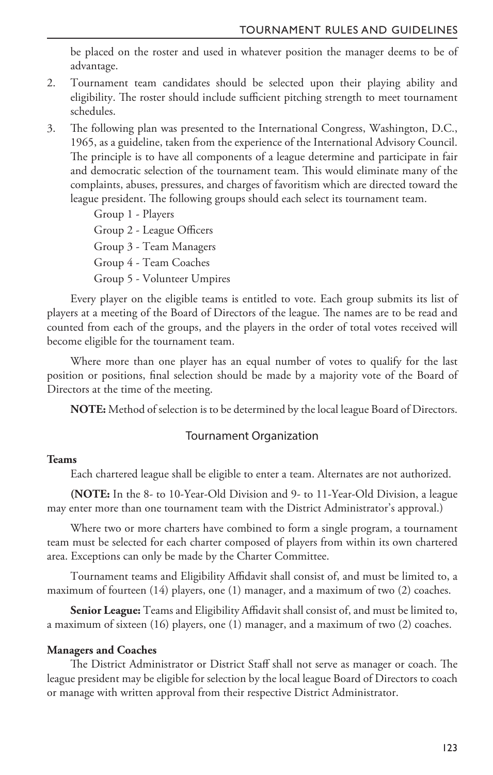be placed on the roster and used in whatever position the manager deems to be of advantage.

- 2. Tournament team candidates should be selected upon their playing ability and eligibility. The roster should include sufficient pitching strength to meet tournament schedules.
- 3. The following plan was presented to the International Congress, Washington, D.C., 1965, as a guideline, taken from the experience of the International Advisory Council. The principle is to have all components of a league determine and participate in fair and democratic selection of the tournament team. This would eliminate many of the complaints, abuses, pressures, and charges of favoritism which are directed toward the league president. The following groups should each select its tournament team.

Group 1 - Players Group 2 - League Officers Group 3 - Team Managers Group 4 - Team Coaches Group 5 - Volunteer Umpires

Every player on the eligible teams is entitled to vote. Each group submits its list of players at a meeting of the Board of Directors of the league. The names are to be read and counted from each of the groups, and the players in the order of total votes received will become eligible for the tournament team.

Where more than one player has an equal number of votes to qualify for the last position or positions, final selection should be made by a majority vote of the Board of Directors at the time of the meeting.

**NOTE:** Method of selection is to be determined by the local league Board of Directors.

### Tournament Organization

### **Teams**

Each chartered league shall be eligible to enter a team. Alternates are not authorized.

**(NOTE:** In the 8- to 10-Year-Old Division and 9- to 11-Year-Old Division, a league may enter more than one tournament team with the District Administrator's approval.)

Where two or more charters have combined to form a single program, a tournament team must be selected for each charter composed of players from within its own chartered area. Exceptions can only be made by the Charter Committee.

Tournament teams and Eligibility Affidavit shall consist of, and must be limited to, a maximum of fourteen (14) players, one (1) manager, and a maximum of two (2) coaches.

**Senior League:** Teams and Eligibility Affidavit shall consist of, and must be limited to, a maximum of sixteen (16) players, one (1) manager, and a maximum of two (2) coaches.

### **Managers and Coaches**

The District Administrator or District Staff shall not serve as manager or coach. The league president may be eligible for selection by the local league Board of Directors to coach or manage with written approval from their respective District Administrator.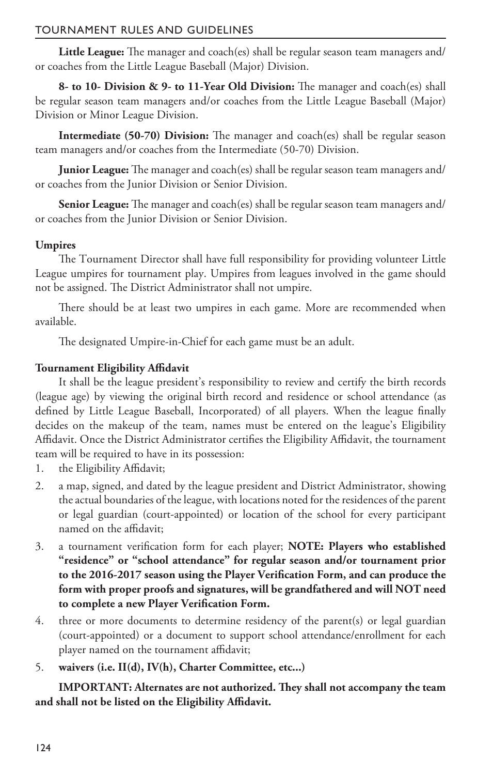**Little League:** The manager and coach(es) shall be regular season team managers and/ or coaches from the Little League Baseball (Major) Division.

**8- to 10- Division & 9- to 11-Year Old Division:** The manager and coach(es) shall be regular season team managers and/or coaches from the Little League Baseball (Major) Division or Minor League Division.

**Intermediate (50-70) Division:** The manager and coach(es) shall be regular season team managers and/or coaches from the Intermediate (50-70) Division.

**Junior League:** The manager and coach(es) shall be regular season team managers and/ or coaches from the Junior Division or Senior Division.

**Senior League:** The manager and coach(es) shall be regular season team managers and/ or coaches from the Junior Division or Senior Division.

## **Umpires**

The Tournament Director shall have full responsibility for providing volunteer Little League umpires for tournament play. Umpires from leagues involved in the game should not be assigned. The District Administrator shall not umpire.

There should be at least two umpires in each game. More are recommended when available.

The designated Umpire-in-Chief for each game must be an adult.

## **Tournament Eligibility Affidavit**

It shall be the league president's responsibility to review and certify the birth records (league age) by viewing the original birth record and residence or school attendance (as defined by Little League Baseball, Incorporated) of all players. When the league finally decides on the makeup of the team, names must be entered on the league's Eligibility Affidavit. Once the District Administrator certifies the Eligibility Affidavit, the tournament team will be required to have in its possession:

- 1. the Eligibility Affidavit;
- 2. a map, signed, and dated by the league president and District Administrator, showing the actual boundaries of the league, with locations noted for the residences of the parent or legal guardian (court-appointed) or location of the school for every participant named on the affidavit;
- 3. a tournament verification form for each player; **NOTE: Players who established "residence" or "school attendance" for regular season and/or tournament prior to the 2016-2017 season using the Player Verification Form, and can produce the form with proper proofs and signatures, will be grandfathered and will NOT need to complete a new Player Verification Form.**
- 4. three or more documents to determine residency of the parent(s) or legal guardian (court-appointed) or a document to support school attendance/enrollment for each player named on the tournament affidavit;
- 5. **waivers (i.e. II(d), IV(h), Charter Committee, etc...)**

**IMPORTANT: Alternates are not authorized. They shall not accompany the team and shall not be listed on the Eligibility Affidavit.**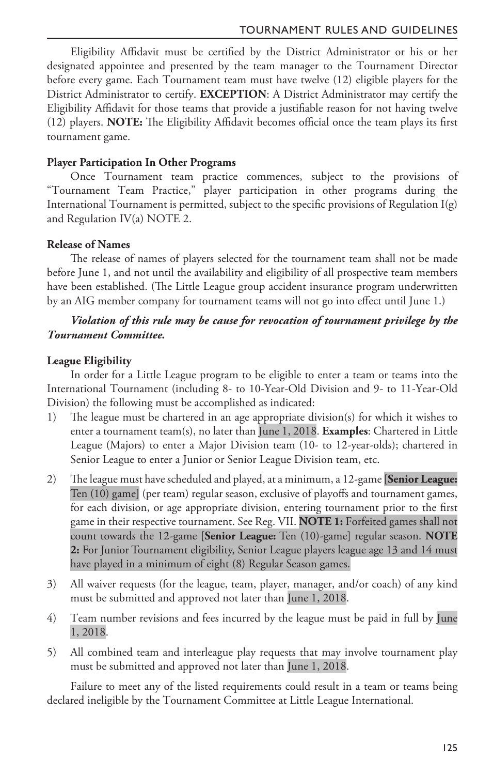Eligibility Affidavit must be certified by the District Administrator or his or her designated appointee and presented by the team manager to the Tournament Director before every game. Each Tournament team must have twelve (12) eligible players for the District Administrator to certify. **EXCEPTION**: A District Administrator may certify the Eligibility Affidavit for those teams that provide a justifiable reason for not having twelve (12) players. **NOTE:** The Eligibility Affidavit becomes official once the team plays its first tournament game.

#### **Player Participation In Other Programs**

Once Tournament team practice commences, subject to the provisions of "Tournament Team Practice," player participation in other programs during the International Tournament is permitted, subject to the specific provisions of Regulation I(g) and Regulation IV(a) NOTE 2.

#### **Release of Names**

The release of names of players selected for the tournament team shall not be made before June 1, and not until the availability and eligibility of all prospective team members have been established. (The Little League group accident insurance program underwritten by an AIG member company for tournament teams will not go into effect until June 1.)

### *Violation of this rule may be cause for revocation of tournament privilege by the Tournament Committee.*

#### **League Eligibility**

In order for a Little League program to be eligible to enter a team or teams into the International Tournament (including 8- to 10-Year-Old Division and 9- to 11-Year-Old Division) the following must be accomplished as indicated:

- 1) The league must be chartered in an age appropriate division(s) for which it wishes to enter a tournament team(s), no later than June 1, 2018. **Examples**: Chartered in Little League (Majors) to enter a Major Division team (10- to 12-year-olds); chartered in Senior League to enter a Junior or Senior League Division team, etc.
- 2) The league must have scheduled and played, at a minimum, a 12-game [**Senior League:** Ten (10) game] (per team) regular season, exclusive of playoffs and tournament games, for each division, or age appropriate division, entering tournament prior to the first game in their respective tournament. See Reg. VII. **NOTE 1:** Forfeited games shall not count towards the 12-game [**Senior League:** Ten (10)-game] regular season. **NOTE 2:** For Junior Tournament eligibility, Senior League players league age 13 and 14 must have played in a minimum of eight (8) Regular Season games.
- 3) All waiver requests (for the league, team, player, manager, and/or coach) of any kind must be submitted and approved not later than June 1, 2018.
- 4) Team number revisions and fees incurred by the league must be paid in full by June 1, 2018.
- 5) All combined team and interleague play requests that may involve tournament play must be submitted and approved not later than June 1, 2018.

Failure to meet any of the listed requirements could result in a team or teams being declared ineligible by the Tournament Committee at Little League International.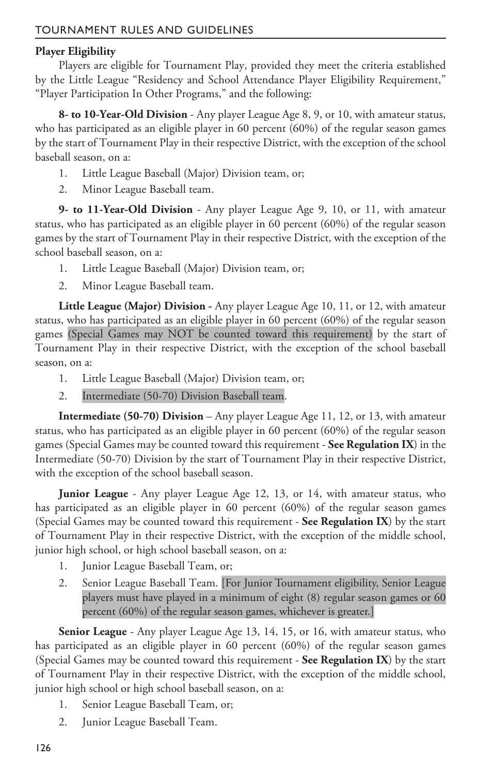## **Player Eligibility**

Players are eligible for Tournament Play, provided they meet the criteria established by the Little League "Residency and School Attendance Player Eligibility Requirement," "Player Participation In Other Programs," and the following:

**8- to 10-Year-Old Division** - Any player League Age 8, 9, or 10, with amateur status, who has participated as an eligible player in 60 percent (60%) of the regular season games by the start of Tournament Play in their respective District, with the exception of the school baseball season, on a:

- 1. Little League Baseball (Major) Division team, or;
- 2. Minor League Baseball team.

**9- to 11-Year-Old Division** - Any player League Age 9, 10, or 11, with amateur status, who has participated as an eligible player in 60 percent (60%) of the regular season games by the start of Tournament Play in their respective District, with the exception of the school baseball season, on a:

- 1. Little League Baseball (Major) Division team, or;
- 2. Minor League Baseball team.

**Little League (Major) Division -** Any player League Age 10, 11, or 12, with amateur status, who has participated as an eligible player in 60 percent (60%) of the regular season games (Special Games may NOT be counted toward this requirement) by the start of Tournament Play in their respective District, with the exception of the school baseball season, on a:

- 1. Little League Baseball (Major) Division team, or;
- 2. Intermediate (50-70) Division Baseball team.

**Intermediate (50-70) Division** – Any player League Age 11, 12, or 13, with amateur status, who has participated as an eligible player in 60 percent (60%) of the regular season games (Special Games may be counted toward this requirement - **See Regulation IX**) in the Intermediate (50-70) Division by the start of Tournament Play in their respective District, with the exception of the school baseball season.

**Junior League** - Any player League Age 12, 13, or 14, with amateur status, who has participated as an eligible player in 60 percent (60%) of the regular season games (Special Games may be counted toward this requirement - **See Regulation IX**) by the start of Tournament Play in their respective District, with the exception of the middle school, junior high school, or high school baseball season, on a:

- 1. Junior League Baseball Team, or;
- 2. Senior League Baseball Team. [For Junior Tournament eligibility, Senior League players must have played in a minimum of eight (8) regular season games or 60 percent (60%) of the regular season games, whichever is greater.]

**Senior League** - Any player League Age 13, 14, 15, or 16, with amateur status, who has participated as an eligible player in 60 percent (60%) of the regular season games (Special Games may be counted toward this requirement - **See Regulation IX**) by the start of Tournament Play in their respective District, with the exception of the middle school, junior high school or high school baseball season, on a:

- 1. Senior League Baseball Team, or;
- 2. Junior League Baseball Team.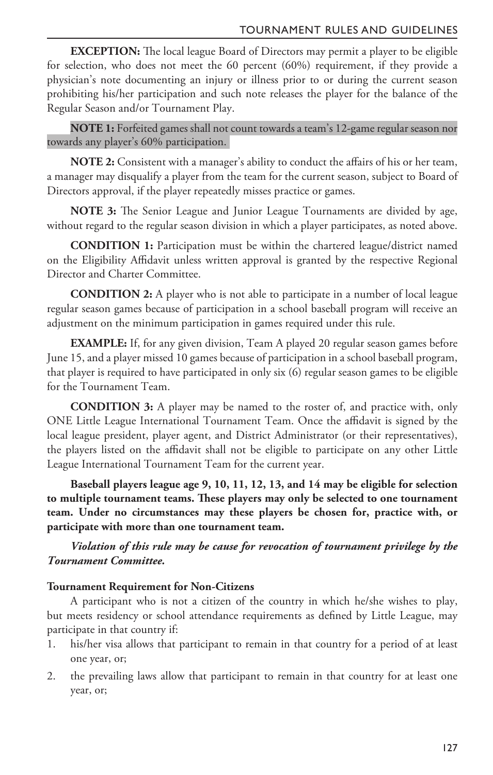**EXCEPTION:** The local league Board of Directors may permit a player to be eligible for selection, who does not meet the 60 percent (60%) requirement, if they provide a physician's note documenting an injury or illness prior to or during the current season prohibiting his/her participation and such note releases the player for the balance of the Regular Season and/or Tournament Play.

**NOTE 1:** Forfeited games shall not count towards a team's 12-game regular season nor towards any player's 60% participation.

**NOTE 2:** Consistent with a manager's ability to conduct the affairs of his or her team, a manager may disqualify a player from the team for the current season, subject to Board of Directors approval, if the player repeatedly misses practice or games.

**NOTE 3:** The Senior League and Junior League Tournaments are divided by age, without regard to the regular season division in which a player participates, as noted above.

**CONDITION 1:** Participation must be within the chartered league/district named on the Eligibility Affidavit unless written approval is granted by the respective Regional Director and Charter Committee.

**CONDITION 2:** A player who is not able to participate in a number of local league regular season games because of participation in a school baseball program will receive an adjustment on the minimum participation in games required under this rule.

**EXAMPLE:** If, for any given division, Team A played 20 regular season games before June 15, and a player missed 10 games because of participation in a school baseball program, that player is required to have participated in only six (6) regular season games to be eligible for the Tournament Team.

**CONDITION 3:** A player may be named to the roster of, and practice with, only ONE Little League International Tournament Team. Once the affidavit is signed by the local league president, player agent, and District Administrator (or their representatives), the players listed on the affidavit shall not be eligible to participate on any other Little League International Tournament Team for the current year.

**Baseball players league age 9, 10, 11, 12, 13, and 14 may be eligible for selection to multiple tournament teams. These players may only be selected to one tournament team. Under no circumstances may these players be chosen for, practice with, or participate with more than one tournament team.**

*Violation of this rule may be cause for revocation of tournament privilege by the Tournament Committee.*

#### **Tournament Requirement for Non-Citizens**

A participant who is not a citizen of the country in which he/she wishes to play, but meets residency or school attendance requirements as defined by Little League, may participate in that country if:

- 1. his/her visa allows that participant to remain in that country for a period of at least one year, or;
- 2. the prevailing laws allow that participant to remain in that country for at least one year, or;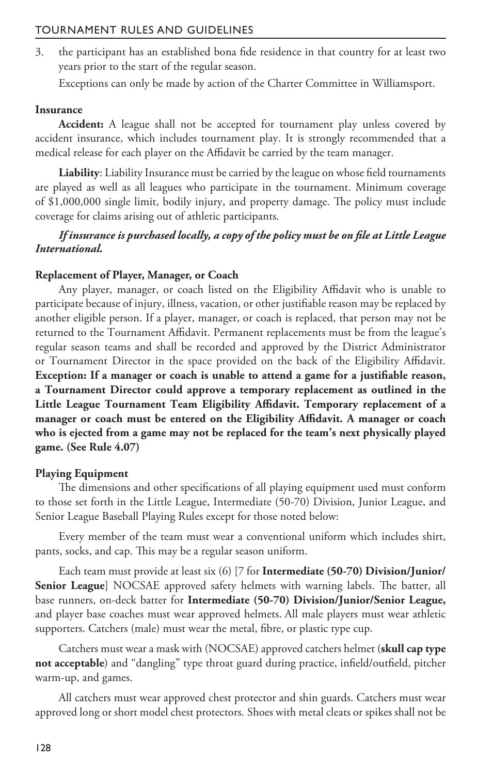3. the participant has an established bona fide residence in that country for at least two years prior to the start of the regular season.

Exceptions can only be made by action of the Charter Committee in Williamsport.

#### **Insurance**

**Accident:** A league shall not be accepted for tournament play unless covered by accident insurance, which includes tournament play. It is strongly recommended that a medical release for each player on the Affidavit be carried by the team manager.

**Liability**: Liability Insurance must be carried by the league on whose field tournaments are played as well as all leagues who participate in the tournament. Minimum coverage of \$1,000,000 single limit, bodily injury, and property damage. The policy must include coverage for claims arising out of athletic participants.

## *If insurance is purchased locally, a copy of the policy must be on file at Little League International.*

#### **Replacement of Player, Manager, or Coach**

Any player, manager, or coach listed on the Eligibility Affidavit who is unable to participate because of injury, illness, vacation, or other justifiable reason may be replaced by another eligible person. If a player, manager, or coach is replaced, that person may not be returned to the Tournament Affidavit. Permanent replacements must be from the league's regular season teams and shall be recorded and approved by the District Administrator or Tournament Director in the space provided on the back of the Eligibility Affidavit. **Exception: If a manager or coach is unable to attend a game for a justifiable reason, a Tournament Director could approve a temporary replacement as outlined in the Little League Tournament Team Eligibility Affidavit. Temporary replacement of a manager or coach must be entered on the Eligibility Affidavit. A manager or coach who is ejected from a game may not be replaced for the team's next physically played game. (See Rule 4.07)**

#### **Playing Equipment**

The dimensions and other specifications of all playing equipment used must conform to those set forth in the Little League, Intermediate (50-70) Division, Junior League, and Senior League Baseball Playing Rules except for those noted below:

Every member of the team must wear a conventional uniform which includes shirt, pants, socks, and cap. This may be a regular season uniform.

Each team must provide at least six (6) [7 for **Intermediate (50-70) Division/Junior/ Senior League**] NOCSAE approved safety helmets with warning labels. The batter, all base runners, on-deck batter for **Intermediate (50-70) Division/Junior/Senior League,** and player base coaches must wear approved helmets. All male players must wear athletic supporters. Catchers (male) must wear the metal, fibre, or plastic type cup.

Catchers must wear a mask with (NOCSAE) approved catchers helmet (**skull cap type not acceptable**) and "dangling" type throat guard during practice, infield/outfield, pitcher warm-up, and games.

All catchers must wear approved chest protector and shin guards. Catchers must wear approved long or short model chest protectors. Shoes with metal cleats or spikes shall not be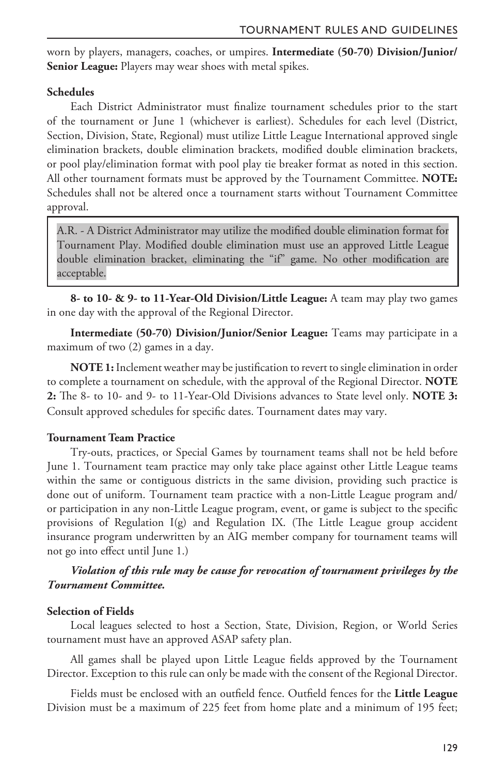worn by players, managers, coaches, or umpires. **Intermediate (50-70) Division/Junior/ Senior League:** Players may wear shoes with metal spikes.

### **Schedules**

Each District Administrator must finalize tournament schedules prior to the start of the tournament or June 1 (whichever is earliest). Schedules for each level (District, Section, Division, State, Regional) must utilize Little League International approved single elimination brackets, double elimination brackets, modified double elimination brackets, or pool play/elimination format with pool play tie breaker format as noted in this section. All other tournament formats must be approved by the Tournament Committee. **NOTE:**  Schedules shall not be altered once a tournament starts without Tournament Committee approval.

A.R. - A District Administrator may utilize the modified double elimination format for Tournament Play. Modified double elimination must use an approved Little League double elimination bracket, eliminating the "if" game. No other modification are acceptable.

**8- to 10- & 9- to 11-Year-Old Division/Little League:** A team may play two games in one day with the approval of the Regional Director.

**Intermediate (50-70) Division/Junior/Senior League:** Teams may participate in a maximum of two (2) games in a day.

**NOTE 1:** Inclement weather may be justification to revert to single elimination in order to complete a tournament on schedule, with the approval of the Regional Director. **NOTE 2:** The 8- to 10- and 9- to 11-Year-Old Divisions advances to State level only. **NOTE 3:**  Consult approved schedules for specific dates. Tournament dates may vary.

## **Tournament Team Practice**

Try-outs, practices, or Special Games by tournament teams shall not be held before June 1. Tournament team practice may only take place against other Little League teams within the same or contiguous districts in the same division, providing such practice is done out of uniform. Tournament team practice with a non-Little League program and/ or participation in any non-Little League program, event, or game is subject to the specific provisions of Regulation  $I(g)$  and Regulation IX. (The Little League group accident insurance program underwritten by an AIG member company for tournament teams will not go into effect until June 1.)

## *Violation of this rule may be cause for revocation of tournament privileges by the Tournament Committee.*

## **Selection of Fields**

Local leagues selected to host a Section, State, Division, Region, or World Series tournament must have an approved ASAP safety plan.

All games shall be played upon Little League fields approved by the Tournament Director. Exception to this rule can only be made with the consent of the Regional Director.

Fields must be enclosed with an outfield fence. Outfield fences for the **Little League**  Division must be a maximum of 225 feet from home plate and a minimum of 195 feet;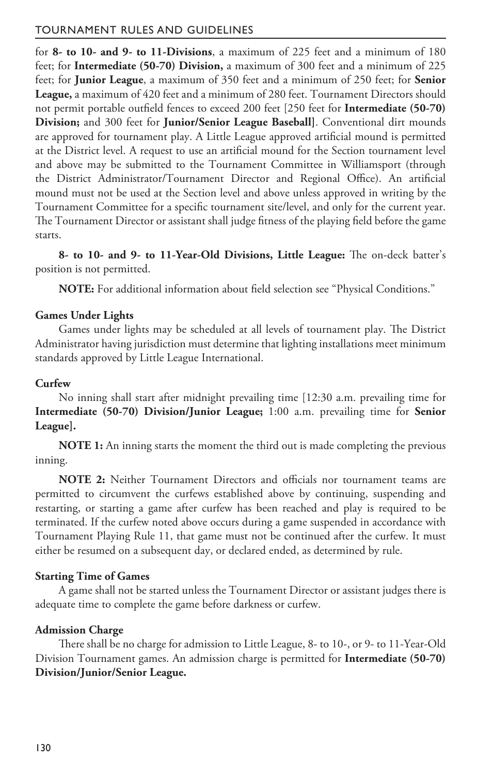for **8- to 10- and 9- to 11-Divisions**, a maximum of 225 feet and a minimum of 180 feet; for **Intermediate (50-70) Division,** a maximum of 300 feet and a minimum of 225 feet; for **Junior League**, a maximum of 350 feet and a minimum of 250 feet; for **Senior League,** a maximum of 420 feet and a minimum of 280 feet. Tournament Directors should not permit portable outfield fences to exceed 200 feet [250 feet for **Intermediate (50-70) Division;** and 300 feet for **Junior/Senior League Baseball]**. Conventional dirt mounds are approved for tournament play. A Little League approved artificial mound is permitted at the District level. A request to use an artificial mound for the Section tournament level and above may be submitted to the Tournament Committee in Williamsport (through the District Administrator/Tournament Director and Regional Office). An artificial mound must not be used at the Section level and above unless approved in writing by the Tournament Committee for a specific tournament site/level, and only for the current year. The Tournament Director or assistant shall judge fitness of the playing field before the game starts.

**8- to 10- and 9- to 11-Year-Old Divisions, Little League:** The on-deck batter's position is not permitted.

**NOTE:** For additional information about field selection see "Physical Conditions."

### **Games Under Lights**

Games under lights may be scheduled at all levels of tournament play. The District Administrator having jurisdiction must determine that lighting installations meet minimum standards approved by Little League International.

### **Curfew**

No inning shall start after midnight prevailing time [12:30 a.m. prevailing time for **Intermediate (50-70) Division/Junior League;** 1:00 a.m. prevailing time for **Senior League].**

**NOTE 1:** An inning starts the moment the third out is made completing the previous inning.

**NOTE 2:** Neither Tournament Directors and officials nor tournament teams are permitted to circumvent the curfews established above by continuing, suspending and restarting, or starting a game after curfew has been reached and play is required to be terminated. If the curfew noted above occurs during a game suspended in accordance with Tournament Playing Rule 11, that game must not be continued after the curfew. It must either be resumed on a subsequent day, or declared ended, as determined by rule.

### **Starting Time of Games**

A game shall not be started unless the Tournament Director or assistant judges there is adequate time to complete the game before darkness or curfew.

## **Admission Charge**

There shall be no charge for admission to Little League, 8- to 10-, or 9- to 11-Year-Old Division Tournament games. An admission charge is permitted for **Intermediate (50-70) Division/Junior/Senior League.**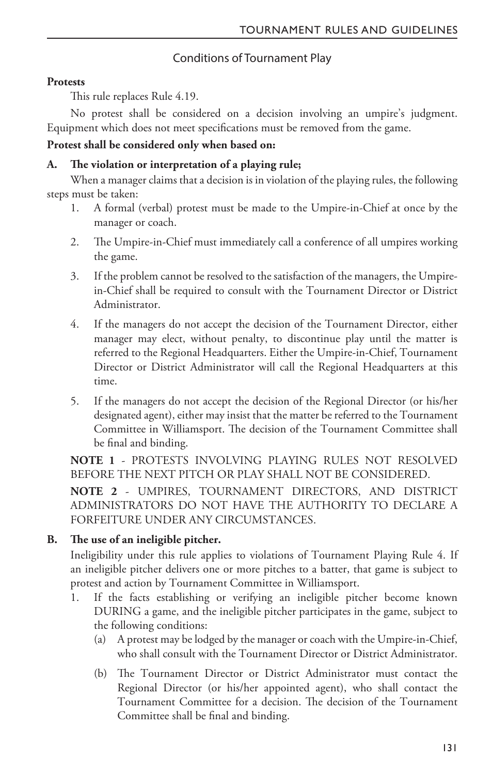# Conditions of Tournament Play

## **Protests**

This rule replaces Rule 4.19.

No protest shall be considered on a decision involving an umpire's judgment. Equipment which does not meet specifications must be removed from the game.

## **Protest shall be considered only when based on:**

## **A. The violation or interpretation of a playing rule;**

When a manager claims that a decision is in violation of the playing rules, the following steps must be taken:

- 1. A formal (verbal) protest must be made to the Umpire-in-Chief at once by the manager or coach.
- 2. The Umpire-in-Chief must immediately call a conference of all umpires working the game.
- 3. If the problem cannot be resolved to the satisfaction of the managers, the Umpirein-Chief shall be required to consult with the Tournament Director or District Administrator.
- 4. If the managers do not accept the decision of the Tournament Director, either manager may elect, without penalty, to discontinue play until the matter is referred to the Regional Headquarters. Either the Umpire-in-Chief, Tournament Director or District Administrator will call the Regional Headquarters at this time.
- 5. If the managers do not accept the decision of the Regional Director (or his/her designated agent), either may insist that the matter be referred to the Tournament Committee in Williamsport. The decision of the Tournament Committee shall be final and binding.

**NOTE 1** - PROTESTS INVOLVING PLAYING RULES NOT RESOLVED BEFORE THE NEXT PITCH OR PLAY SHALL NOT BE CONSIDERED.

**NOTE 2** - UMPIRES, TOURNAMENT DIRECTORS, AND DISTRICT ADMINISTRATORS DO NOT HAVE THE AUTHORITY TO DECLARE A FORFEITURE UNDER ANY CIRCUMSTANCES.

# **B. The use of an ineligible pitcher.**

Ineligibility under this rule applies to violations of Tournament Playing Rule 4. If an ineligible pitcher delivers one or more pitches to a batter, that game is subject to protest and action by Tournament Committee in Williamsport.

- 1. If the facts establishing or verifying an ineligible pitcher become known DURING a game, and the ineligible pitcher participates in the game, subject to the following conditions:
	- (a) A protest may be lodged by the manager or coach with the Umpire-in-Chief, who shall consult with the Tournament Director or District Administrator.
	- (b) The Tournament Director or District Administrator must contact the Regional Director (or his/her appointed agent), who shall contact the Tournament Committee for a decision. The decision of the Tournament Committee shall be final and binding.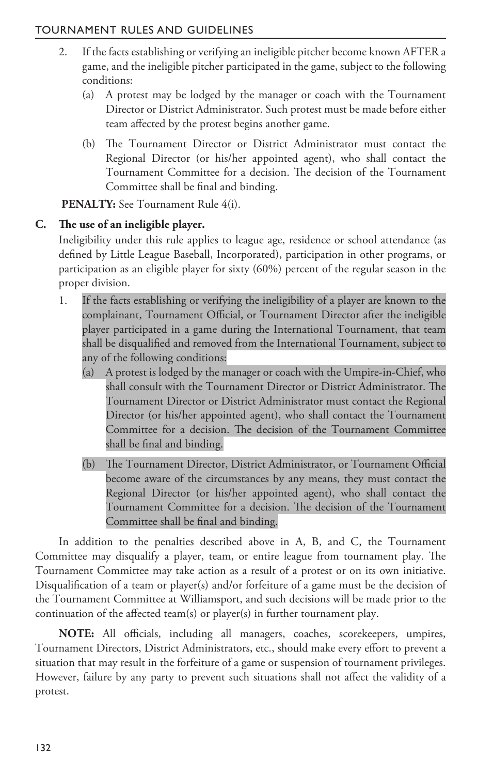- 2. If the facts establishing or verifying an ineligible pitcher become known AFTER a game, and the ineligible pitcher participated in the game, subject to the following conditions:
	- (a) A protest may be lodged by the manager or coach with the Tournament Director or District Administrator. Such protest must be made before either team affected by the protest begins another game.
	- (b) The Tournament Director or District Administrator must contact the Regional Director (or his/her appointed agent), who shall contact the Tournament Committee for a decision. The decision of the Tournament Committee shall be final and binding.

**PENALTY:** See Tournament Rule 4(i).

# **C. The use of an ineligible player.**

Ineligibility under this rule applies to league age, residence or school attendance (as defined by Little League Baseball, Incorporated), participation in other programs, or participation as an eligible player for sixty (60%) percent of the regular season in the proper division.

- 1. If the facts establishing or verifying the ineligibility of a player are known to the complainant, Tournament Official, or Tournament Director after the ineligible player participated in a game during the International Tournament, that team shall be disqualified and removed from the International Tournament, subject to any of the following conditions:
	- (a) A protest is lodged by the manager or coach with the Umpire-in-Chief, who shall consult with the Tournament Director or District Administrator. The Tournament Director or District Administrator must contact the Regional Director (or his/her appointed agent), who shall contact the Tournament Committee for a decision. The decision of the Tournament Committee shall be final and binding.
	- (b) The Tournament Director, District Administrator, or Tournament Official become aware of the circumstances by any means, they must contact the Regional Director (or his/her appointed agent), who shall contact the Tournament Committee for a decision. The decision of the Tournament Committee shall be final and binding.

In addition to the penalties described above in A, B, and C, the Tournament Committee may disqualify a player, team, or entire league from tournament play. The Tournament Committee may take action as a result of a protest or on its own initiative. Disqualification of a team or player(s) and/or forfeiture of a game must be the decision of the Tournament Committee at Williamsport, and such decisions will be made prior to the continuation of the affected team(s) or player(s) in further tournament play.

**NOTE:** All officials, including all managers, coaches, scorekeepers, umpires, Tournament Directors, District Administrators, etc., should make every effort to prevent a situation that may result in the forfeiture of a game or suspension of tournament privileges. However, failure by any party to prevent such situations shall not affect the validity of a protest.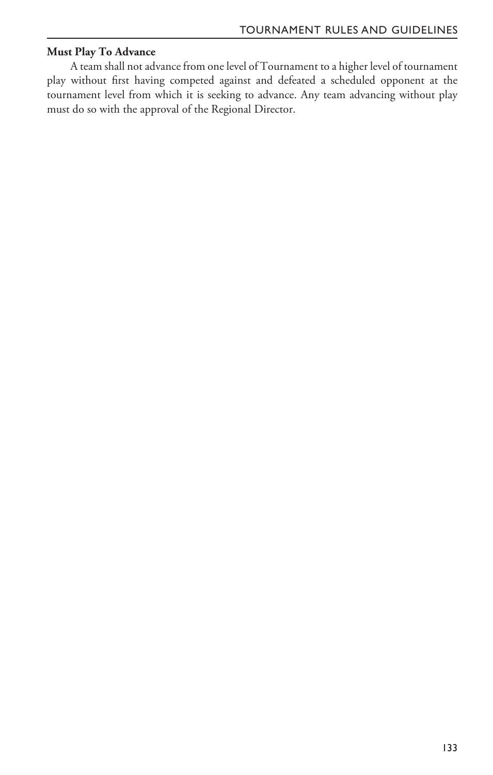# **Must Play To Advance**

A team shall not advance from one level of Tournament to a higher level of tournament play without first having competed against and defeated a scheduled opponent at the tournament level from which it is seeking to advance. Any team advancing without play must do so with the approval of the Regional Director.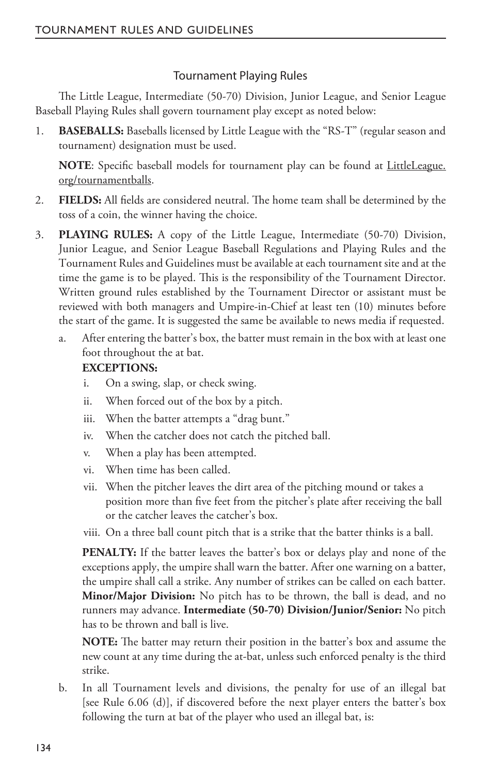# Tournament Playing Rules

The Little League, Intermediate (50-70) Division, Junior League, and Senior League Baseball Playing Rules shall govern tournament play except as noted below:

1. **BASEBALLS:** Baseballs licensed by Little League with the "RS-T" (regular season and tournament) designation must be used.

**NOTE**: Specific baseball models for tournament play can be found at LittleLeague. org/tournamentballs.

- 2. **FIELDS:** All fields are considered neutral. The home team shall be determined by the toss of a coin, the winner having the choice.
- 3. **PLAYING RULES:** A copy of the Little League, Intermediate (50-70) Division, Junior League, and Senior League Baseball Regulations and Playing Rules and the Tournament Rules and Guidelines must be available at each tournament site and at the time the game is to be played. This is the responsibility of the Tournament Director. Written ground rules established by the Tournament Director or assistant must be reviewed with both managers and Umpire-in-Chief at least ten (10) minutes before the start of the game. It is suggested the same be available to news media if requested.
	- a. After entering the batter's box, the batter must remain in the box with at least one foot throughout the at bat.

## **EXCEPTIONS:**

- i. On a swing, slap, or check swing.
- ii. When forced out of the box by a pitch.
- iii. When the batter attempts a "drag bunt."
- iv. When the catcher does not catch the pitched ball.
- v. When a play has been attempted.
- vi. When time has been called.
- vii. When the pitcher leaves the dirt area of the pitching mound or takes a position more than five feet from the pitcher's plate after receiving the ball or the catcher leaves the catcher's box.
- viii. On a three ball count pitch that is a strike that the batter thinks is a ball.

**PENALTY:** If the batter leaves the batter's box or delays play and none of the exceptions apply, the umpire shall warn the batter. After one warning on a batter, the umpire shall call a strike. Any number of strikes can be called on each batter. **Minor/Major Division:** No pitch has to be thrown, the ball is dead, and no runners may advance. **Intermediate (50-70) Division/Junior/Senior:** No pitch has to be thrown and ball is live.

**NOTE:** The batter may return their position in the batter's box and assume the new count at any time during the at-bat, unless such enforced penalty is the third strike.

b. In all Tournament levels and divisions, the penalty for use of an illegal bat [see Rule 6.06 (d)], if discovered before the next player enters the batter's box following the turn at bat of the player who used an illegal bat, is: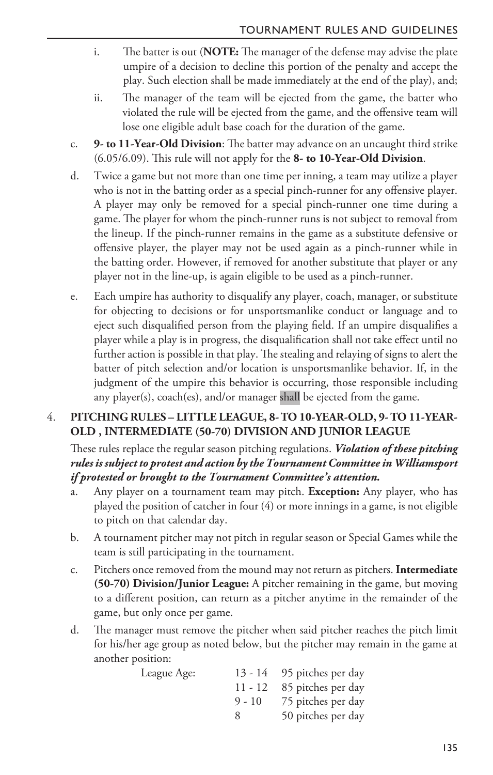- i. The batter is out (**NOTE:** The manager of the defense may advise the plate umpire of a decision to decline this portion of the penalty and accept the play. Such election shall be made immediately at the end of the play), and;
- ii. The manager of the team will be ejected from the game, the batter who violated the rule will be ejected from the game, and the offensive team will lose one eligible adult base coach for the duration of the game.
- c. **9- to 11-Year-Old Division**: The batter may advance on an uncaught third strike (6.05/6.09). This rule will not apply for the **8- to 10-Year-Old Division**.
- d. Twice a game but not more than one time per inning, a team may utilize a player who is not in the batting order as a special pinch-runner for any offensive player. A player may only be removed for a special pinch-runner one time during a game. The player for whom the pinch-runner runs is not subject to removal from the lineup. If the pinch-runner remains in the game as a substitute defensive or offensive player, the player may not be used again as a pinch-runner while in the batting order. However, if removed for another substitute that player or any player not in the line-up, is again eligible to be used as a pinch-runner.
- e. Each umpire has authority to disqualify any player, coach, manager, or substitute for objecting to decisions or for unsportsmanlike conduct or language and to eject such disqualified person from the playing field. If an umpire disqualifies a player while a play is in progress, the disqualification shall not take effect until no further action is possible in that play. The stealing and relaying of signs to alert the batter of pitch selection and/or location is unsportsmanlike behavior. If, in the judgment of the umpire this behavior is occurring, those responsible including any player(s), coach(es), and/or manager shall be ejected from the game.

# 4. **PITCHING RULES – LITTLE LEAGUE, 8- TO 10-YEAR-OLD, 9- TO 11-YEAR-OLD , INTERMEDIATE (50-70) DIVISION AND JUNIOR LEAGUE**

These rules replace the regular season pitching regulations. *Violation of these pitching rules is subject to protest and action by the Tournament Committee in Williamsport if protested or brought to the Tournament Committee's attention.*

- a. Any player on a tournament team may pitch. **Exception:** Any player, who has played the position of catcher in four (4) or more innings in a game, is not eligible to pitch on that calendar day.
- b. A tournament pitcher may not pitch in regular season or Special Games while the team is still participating in the tournament.
- c. Pitchers once removed from the mound may not return as pitchers. **Intermediate (50-70) Division/Junior League:** A pitcher remaining in the game, but moving to a different position, can return as a pitcher anytime in the remainder of the game, but only once per game.
- d. The manager must remove the pitcher when said pitcher reaches the pitch limit for his/her age group as noted below, but the pitcher may remain in the game at another position:

| League Age: | 13 - 14 95 pitches per day  |
|-------------|-----------------------------|
|             | 11 - 12 85 pitches per day  |
|             | $9 - 10$ 75 pitches per day |
|             | 50 pitches per day          |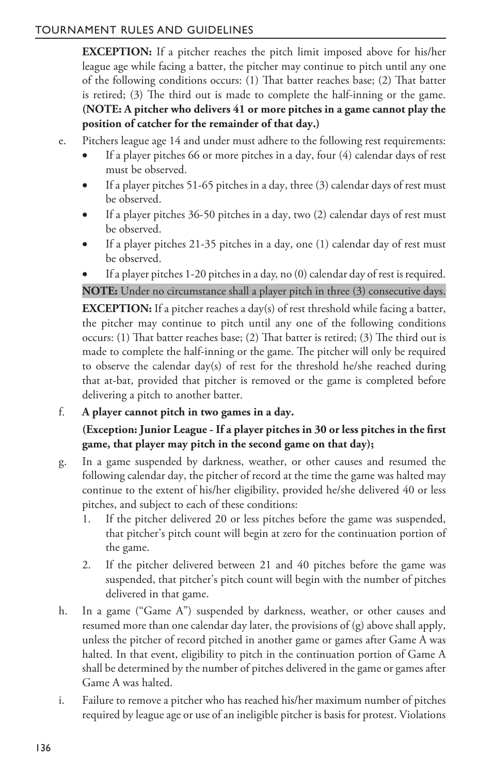**EXCEPTION:** If a pitcher reaches the pitch limit imposed above for his/her league age while facing a batter, the pitcher may continue to pitch until any one of the following conditions occurs: (1) That batter reaches base; (2) That batter is retired; (3) The third out is made to complete the half-inning or the game. **(NOTE: A pitcher who delivers 41 or more pitches in a game cannot play the position of catcher for the remainder of that day.)**

- e. Pitchers league age 14 and under must adhere to the following rest requirements:
	- If a player pitches 66 or more pitches in a day, four (4) calendar days of rest must be observed.
	- If a player pitches  $51-65$  pitches in a day, three  $(3)$  calendar days of rest must be observed.
	- If a player pitches 36-50 pitches in a day, two (2) calendar days of rest must be observed.
	- If a player pitches  $21-35$  pitches in a day, one  $(1)$  calendar day of rest must be observed.
	- If a player pitches 1-20 pitches in a day, no (0) calendar day of rest is required. **NOTE:** Under no circumstance shall a player pitch in three (3) consecutive days.

**EXCEPTION:** If a pitcher reaches a day(s) of rest threshold while facing a batter, the pitcher may continue to pitch until any one of the following conditions occurs: (1) That batter reaches base; (2) That batter is retired; (3) The third out is made to complete the half-inning or the game. The pitcher will only be required to observe the calendar day(s) of rest for the threshold he/she reached during that at-bat, provided that pitcher is removed or the game is completed before delivering a pitch to another batter.

- f. **A player cannot pitch in two games in a day. (Exception: Junior League - If a player pitches in 30 or less pitches in the first game, that player may pitch in the second game on that day);**
- g. In a game suspended by darkness, weather, or other causes and resumed the following calendar day, the pitcher of record at the time the game was halted may continue to the extent of his/her eligibility, provided he/she delivered 40 or less pitches, and subject to each of these conditions:
	- 1. If the pitcher delivered 20 or less pitches before the game was suspended, that pitcher's pitch count will begin at zero for the continuation portion of the game.
	- 2. If the pitcher delivered between 21 and 40 pitches before the game was suspended, that pitcher's pitch count will begin with the number of pitches delivered in that game.
- h. In a game ("Game A") suspended by darkness, weather, or other causes and resumed more than one calendar day later, the provisions of (g) above shall apply, unless the pitcher of record pitched in another game or games after Game A was halted. In that event, eligibility to pitch in the continuation portion of Game A shall be determined by the number of pitches delivered in the game or games after Game A was halted.
- i. Failure to remove a pitcher who has reached his/her maximum number of pitches required by league age or use of an ineligible pitcher is basis for protest. Violations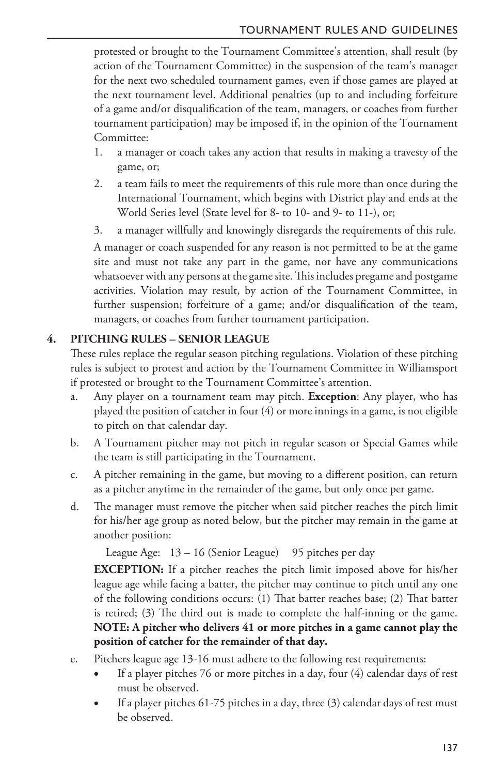protested or brought to the Tournament Committee's attention, shall result (by action of the Tournament Committee) in the suspension of the team's manager for the next two scheduled tournament games, even if those games are played at the next tournament level. Additional penalties (up to and including forfeiture of a game and/or disqualification of the team, managers, or coaches from further tournament participation) may be imposed if, in the opinion of the Tournament Committee:

- 1. a manager or coach takes any action that results in making a travesty of the game, or;
- 2. a team fails to meet the requirements of this rule more than once during the International Tournament, which begins with District play and ends at the World Series level (State level for 8- to 10- and 9- to 11-), or;
- 3. a manager willfully and knowingly disregards the requirements of this rule.

A manager or coach suspended for any reason is not permitted to be at the game site and must not take any part in the game, nor have any communications whatsoever with any persons at the game site. This includes pregame and postgame activities. Violation may result, by action of the Tournament Committee, in further suspension; forfeiture of a game; and/or disqualification of the team, managers, or coaches from further tournament participation.

# **4. PITCHING RULES – SENIOR LEAGUE**

These rules replace the regular season pitching regulations. Violation of these pitching rules is subject to protest and action by the Tournament Committee in Williamsport if protested or brought to the Tournament Committee's attention.

- a. Any player on a tournament team may pitch. **Exception**: Any player, who has played the position of catcher in four (4) or more innings in a game, is not eligible to pitch on that calendar day.
- b. A Tournament pitcher may not pitch in regular season or Special Games while the team is still participating in the Tournament.
- c. A pitcher remaining in the game, but moving to a different position, can return as a pitcher anytime in the remainder of the game, but only once per game.
- d. The manager must remove the pitcher when said pitcher reaches the pitch limit for his/her age group as noted below, but the pitcher may remain in the game at another position:

League Age:  $13 - 16$  (Senior League) 95 pitches per day

**EXCEPTION:** If a pitcher reaches the pitch limit imposed above for his/her league age while facing a batter, the pitcher may continue to pitch until any one of the following conditions occurs: (1) That batter reaches base; (2) That batter is retired; (3) The third out is made to complete the half-inning or the game. **NOTE: A pitcher who delivers 41 or more pitches in a game cannot play the position of catcher for the remainder of that day.**

- e. Pitchers league age 13-16 must adhere to the following rest requirements:
	- If a player pitches 76 or more pitches in a day, four (4) calendar days of rest must be observed.
	- • If a player pitches 61-75 pitches in a day, three (3) calendar days of rest must be observed.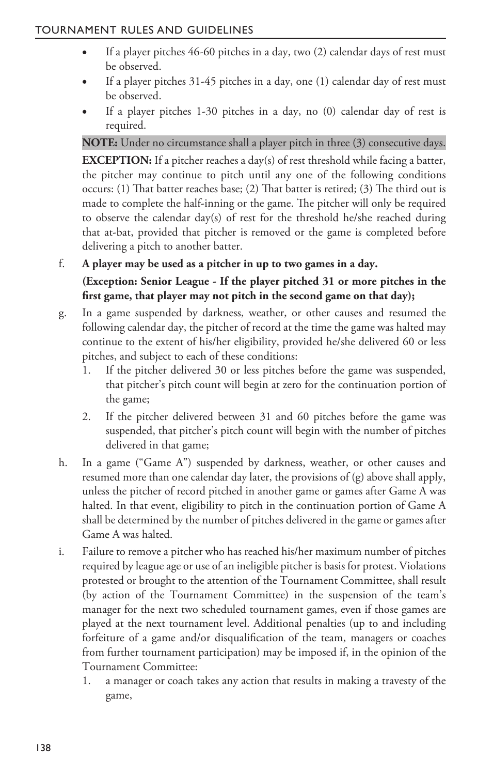- If a player pitches 46-60 pitches in a day, two (2) calendar days of rest must be observed.
- If a player pitches 31-45 pitches in a day, one (1) calendar day of rest must be observed.
- If a player pitches  $1-30$  pitches in a day, no  $(0)$  calendar day of rest is required.

**NOTE:** Under no circumstance shall a player pitch in three (3) consecutive days.

**EXCEPTION:** If a pitcher reaches a day(s) of rest threshold while facing a batter, the pitcher may continue to pitch until any one of the following conditions occurs: (1) That batter reaches base; (2) That batter is retired; (3) The third out is made to complete the half-inning or the game. The pitcher will only be required to observe the calendar day(s) of rest for the threshold he/she reached during that at-bat, provided that pitcher is removed or the game is completed before delivering a pitch to another batter.

# f. **A player may be used as a pitcher in up to two games in a day. (Exception: Senior League - If the player pitched 31 or more pitches in the first game, that player may not pitch in the second game on that day);**

- g. In a game suspended by darkness, weather, or other causes and resumed the following calendar day, the pitcher of record at the time the game was halted may continue to the extent of his/her eligibility, provided he/she delivered 60 or less pitches, and subject to each of these conditions:
	- 1. If the pitcher delivered 30 or less pitches before the game was suspended, that pitcher's pitch count will begin at zero for the continuation portion of the game;
	- 2. If the pitcher delivered between 31 and 60 pitches before the game was suspended, that pitcher's pitch count will begin with the number of pitches delivered in that game;
- h. In a game ("Game A") suspended by darkness, weather, or other causes and resumed more than one calendar day later, the provisions of (g) above shall apply, unless the pitcher of record pitched in another game or games after Game A was halted. In that event, eligibility to pitch in the continuation portion of Game A shall be determined by the number of pitches delivered in the game or games after Game A was halted.
- i. Failure to remove a pitcher who has reached his/her maximum number of pitches required by league age or use of an ineligible pitcher is basis for protest. Violations protested or brought to the attention of the Tournament Committee, shall result (by action of the Tournament Committee) in the suspension of the team's manager for the next two scheduled tournament games, even if those games are played at the next tournament level. Additional penalties (up to and including forfeiture of a game and/or disqualification of the team, managers or coaches from further tournament participation) may be imposed if, in the opinion of the Tournament Committee:
	- 1. a manager or coach takes any action that results in making a travesty of the game,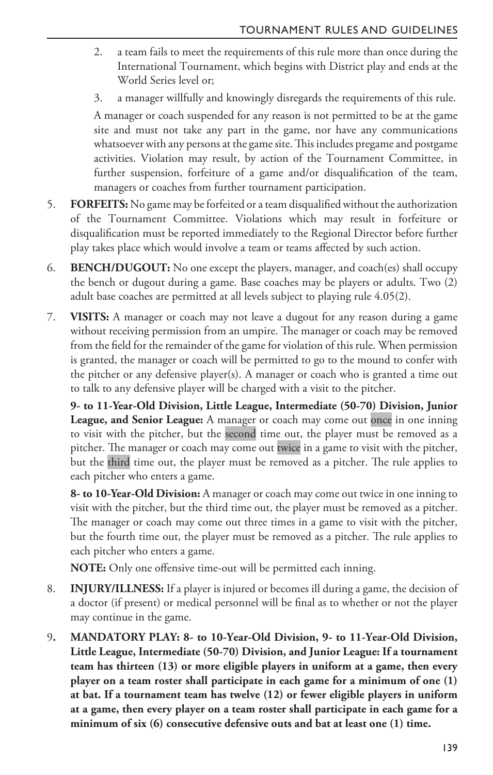- 2. a team fails to meet the requirements of this rule more than once during the International Tournament, which begins with District play and ends at the World Series level or;
- 3. a manager willfully and knowingly disregards the requirements of this rule.

A manager or coach suspended for any reason is not permitted to be at the game site and must not take any part in the game, nor have any communications whatsoever with any persons at the game site. This includes pregame and postgame activities. Violation may result, by action of the Tournament Committee, in further suspension, forfeiture of a game and/or disqualification of the team, managers or coaches from further tournament participation.

- 5. **FORFEITS:** No game may be forfeited or a team disqualified without the authorization of the Tournament Committee. Violations which may result in forfeiture or disqualification must be reported immediately to the Regional Director before further play takes place which would involve a team or teams affected by such action.
- 6. **BENCH/DUGOUT:** No one except the players, manager, and coach(es) shall occupy the bench or dugout during a game. Base coaches may be players or adults. Two (2) adult base coaches are permitted at all levels subject to playing rule 4.05(2).
- 7. **VISITS:** A manager or coach may not leave a dugout for any reason during a game without receiving permission from an umpire. The manager or coach may be removed from the field for the remainder of the game for violation of this rule. When permission is granted, the manager or coach will be permitted to go to the mound to confer with the pitcher or any defensive player(s). A manager or coach who is granted a time out to talk to any defensive player will be charged with a visit to the pitcher.

**9- to 11-Year-Old Division, Little League, Intermediate (50-70) Division, Junior League, and Senior League:** A manager or coach may come out once in one inning to visit with the pitcher, but the second time out, the player must be removed as a pitcher. The manager or coach may come out twice in a game to visit with the pitcher, but the third time out, the player must be removed as a pitcher. The rule applies to each pitcher who enters a game.

**8- to 10-Year-Old Division:** A manager or coach may come out twice in one inning to visit with the pitcher, but the third time out, the player must be removed as a pitcher. The manager or coach may come out three times in a game to visit with the pitcher, but the fourth time out, the player must be removed as a pitcher. The rule applies to each pitcher who enters a game.

**NOTE:** Only one offensive time-out will be permitted each inning.

- 8. **INJURY/ILLNESS:** If a player is injured or becomes ill during a game, the decision of a doctor (if present) or medical personnel will be final as to whether or not the player may continue in the game.
- 9**. MANDATORY PLAY: 8- to 10-Year-Old Division, 9- to 11-Year-Old Division, Little League, Intermediate (50-70) Division, and Junior League: If a tournament team has thirteen (13) or more eligible players in uniform at a game, then every player on a team roster shall participate in each game for a minimum of one (1) at bat. If a tournament team has twelve (12) or fewer eligible players in uniform at a game, then every player on a team roster shall participate in each game for a minimum of six (6) consecutive defensive outs and bat at least one (1) time.**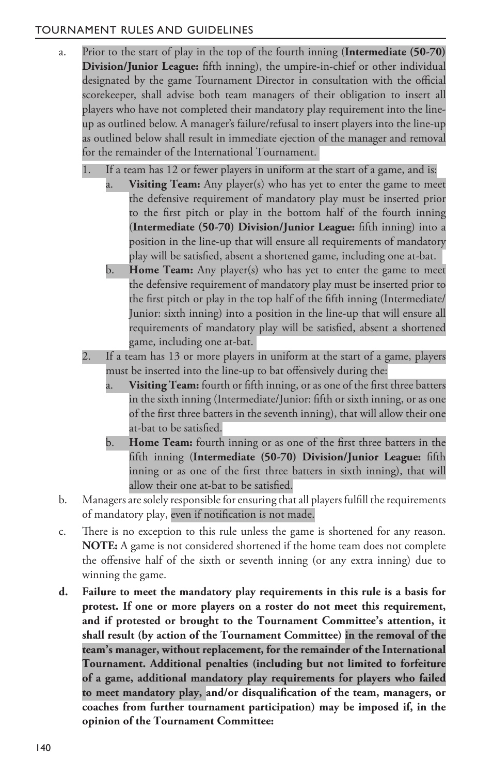- a. Prior to the start of play in the top of the fourth inning (**Intermediate (50-70) Division/Junior League:** fifth inning), the umpire-in-chief or other individual designated by the game Tournament Director in consultation with the official scorekeeper, shall advise both team managers of their obligation to insert all players who have not completed their mandatory play requirement into the lineup as outlined below. A manager's failure/refusal to insert players into the line-up as outlined below shall result in immediate ejection of the manager and removal for the remainder of the International Tournament.
	- 1. If a team has 12 or fewer players in uniform at the start of a game, and is:
		- a. **Visiting Team:** Any player(s) who has yet to enter the game to meet the defensive requirement of mandatory play must be inserted prior to the first pitch or play in the bottom half of the fourth inning (**Intermediate (50-70) Division/Junior League:** fifth inning) into a position in the line-up that will ensure all requirements of mandatory play will be satisfied, absent a shortened game, including one at-bat.
			- b. **Home Team:** Any player(s) who has yet to enter the game to meet the defensive requirement of mandatory play must be inserted prior to the first pitch or play in the top half of the fifth inning (Intermediate/ Junior: sixth inning) into a position in the line-up that will ensure all requirements of mandatory play will be satisfied, absent a shortened game, including one at-bat.
	- 2. If a team has 13 or more players in uniform at the start of a game, players must be inserted into the line-up to bat offensively during the:
		- a. **Visiting Team:** fourth or fifth inning, or as one of the first three batters in the sixth inning (Intermediate/Junior: fifth or sixth inning, or as one of the first three batters in the seventh inning), that will allow their one at-bat to be satisfied.
		- b. **Home Team:** fourth inning or as one of the first three batters in the fifth inning (**Intermediate (50-70) Division/Junior League:** fifth inning or as one of the first three batters in sixth inning), that will allow their one at-bat to be satisfied.
- b. Managers are solely responsible for ensuring that all players fulfill the requirements of mandatory play, even if notification is not made.
- c. There is no exception to this rule unless the game is shortened for any reason. **NOTE:** A game is not considered shortened if the home team does not complete the offensive half of the sixth or seventh inning (or any extra inning) due to winning the game.
- **d. Failure to meet the mandatory play requirements in this rule is a basis for protest. If one or more players on a roster do not meet this requirement, and if protested or brought to the Tournament Committee's attention, it shall result (by action of the Tournament Committee) in the removal of the team's manager, without replacement, for the remainder of the International Tournament. Additional penalties (including but not limited to forfeiture of a game, additional mandatory play requirements for players who failed to meet mandatory play, and/or disqualification of the team, managers, or coaches from further tournament participation) may be imposed if, in the opinion of the Tournament Committee:**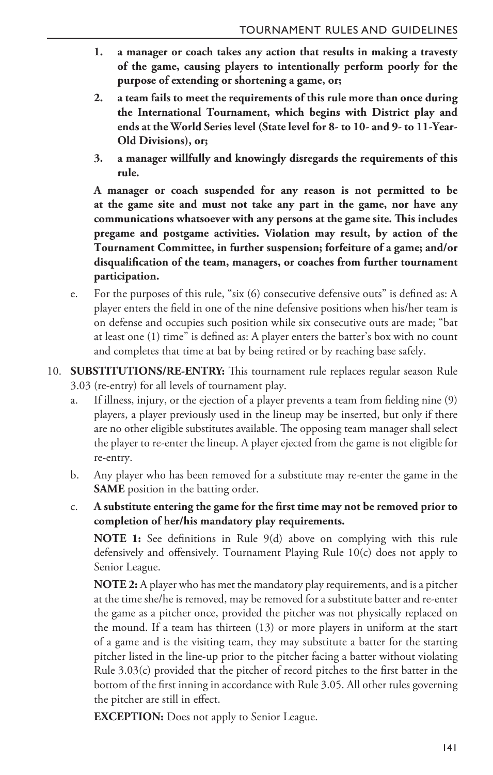- **1. a manager or coach takes any action that results in making a travesty of the game, causing players to intentionally perform poorly for the purpose of extending or shortening a game, or;**
- **2. a team fails to meet the requirements of this rule more than once during the International Tournament, which begins with District play and ends at the World Series level (State level for 8- to 10- and 9- to 11-Year-Old Divisions), or;**
- **3. a manager willfully and knowingly disregards the requirements of this rule.**

**A manager or coach suspended for any reason is not permitted to be at the game site and must not take any part in the game, nor have any communications whatsoever with any persons at the game site. This includes pregame and postgame activities. Violation may result, by action of the Tournament Committee, in further suspension; forfeiture of a game; and/or disqualification of the team, managers, or coaches from further tournament participation.**

- e. For the purposes of this rule, "six (6) consecutive defensive outs" is defined as: A player enters the field in one of the nine defensive positions when his/her team is on defense and occupies such position while six consecutive outs are made; "bat at least one (1) time" is defined as: A player enters the batter's box with no count and completes that time at bat by being retired or by reaching base safely.
- 10. **SUBSTITUTIONS/RE-ENTRY:** This tournament rule replaces regular season Rule 3.03 (re-entry) for all levels of tournament play.
	- a. If illness, injury, or the ejection of a player prevents a team from fielding nine (9) players, a player previously used in the lineup may be inserted, but only if there are no other eligible substitutes available. The opposing team manager shall select the player to re-enter the lineup. A player ejected from the game is not eligible for re-entry.
	- b. Any player who has been removed for a substitute may re-enter the game in the **SAME** position in the batting order.
	- c. **A substitute entering the game for the first time may not be removed prior to completion of her/his mandatory play requirements.**

**NOTE 1:** See definitions in Rule 9(d) above on complying with this rule defensively and offensively. Tournament Playing Rule 10(c) does not apply to Senior League.

**NOTE 2:** A player who has met the mandatory play requirements, and is a pitcher at the time she/he is removed, may be removed for a substitute batter and re-enter the game as a pitcher once, provided the pitcher was not physically replaced on the mound. If a team has thirteen (13) or more players in uniform at the start of a game and is the visiting team, they may substitute a batter for the starting pitcher listed in the line-up prior to the pitcher facing a batter without violating Rule 3.03(c) provided that the pitcher of record pitches to the first batter in the bottom of the first inning in accordance with Rule 3.05. All other rules governing the pitcher are still in effect.

**EXCEPTION:** Does not apply to Senior League.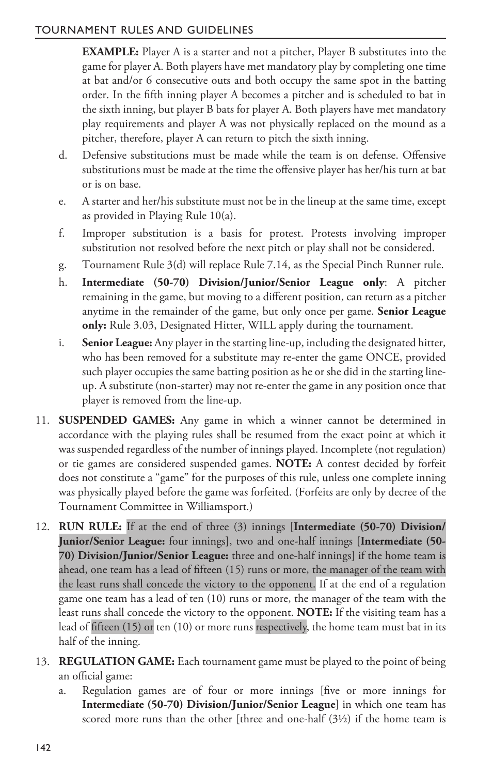**EXAMPLE:** Player A is a starter and not a pitcher, Player B substitutes into the game for player A. Both players have met mandatory play by completing one time at bat and/or 6 consecutive outs and both occupy the same spot in the batting order. In the fifth inning player A becomes a pitcher and is scheduled to bat in the sixth inning, but player B bats for player A. Both players have met mandatory play requirements and player A was not physically replaced on the mound as a pitcher, therefore, player A can return to pitch the sixth inning.

- d. Defensive substitutions must be made while the team is on defense. Offensive substitutions must be made at the time the offensive player has her/his turn at bat or is on base.
- e. A starter and her/his substitute must not be in the lineup at the same time, except as provided in Playing Rule 10(a).
- f. Improper substitution is a basis for protest. Protests involving improper substitution not resolved before the next pitch or play shall not be considered.
- g. Tournament Rule 3(d) will replace Rule 7.14, as the Special Pinch Runner rule.
- h. **Intermediate (50-70) Division/Junior/Senior League only**: A pitcher remaining in the game, but moving to a different position, can return as a pitcher anytime in the remainder of the game, but only once per game. **Senior League only:** Rule 3.03, Designated Hitter, WILL apply during the tournament.
- i. **Senior League:** Any player in the starting line-up, including the designated hitter, who has been removed for a substitute may re-enter the game ONCE, provided such player occupies the same batting position as he or she did in the starting lineup. A substitute (non-starter) may not re-enter the game in any position once that player is removed from the line-up.
- 11. **SUSPENDED GAMES:** Any game in which a winner cannot be determined in accordance with the playing rules shall be resumed from the exact point at which it was suspended regardless of the number of innings played. Incomplete (not regulation) or tie games are considered suspended games. **NOTE:** A contest decided by forfeit does not constitute a "game" for the purposes of this rule, unless one complete inning was physically played before the game was forfeited. (Forfeits are only by decree of the Tournament Committee in Williamsport.)
- 12. **RUN RULE:** If at the end of three (3) innings [**Intermediate (50-70) Division/ Junior/Senior League:** four innings], two and one-half innings [**Intermediate (50- 70) Division/Junior/Senior League:** three and one-half innings] if the home team is ahead, one team has a lead of fifteen (15) runs or more, the manager of the team with the least runs shall concede the victory to the opponent. If at the end of a regulation game one team has a lead of ten (10) runs or more, the manager of the team with the least runs shall concede the victory to the opponent. **NOTE:** If the visiting team has a lead of fifteen (15) or ten (10) or more runs respectively, the home team must bat in its half of the inning.
- 13. **REGULATION GAME:** Each tournament game must be played to the point of being an official game:
	- a. Regulation games are of four or more innings [five or more innings for **Intermediate (50-70) Division/Junior/Senior League**] in which one team has scored more runs than the other [three and one-half  $(3<sup>1</sup>/<sub>2</sub>)$ ] if the home team is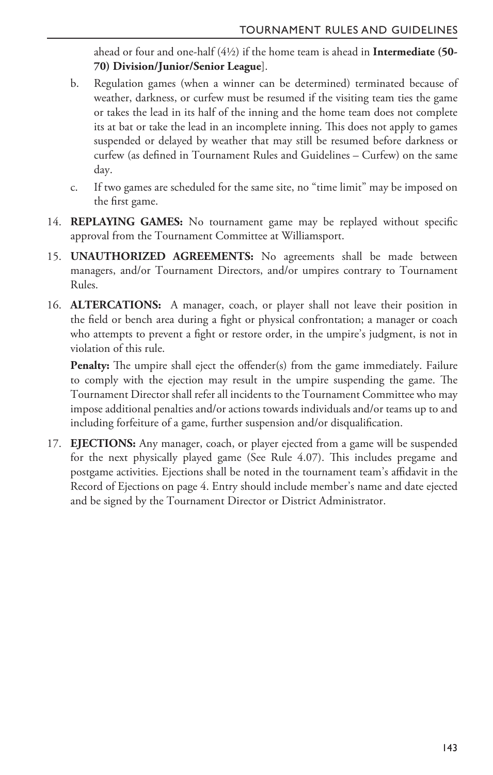ahead or four and one-half (41/2) if the home team is ahead in **Intermediate (50- 70) Division/Junior/Senior League**].

- b. Regulation games (when a winner can be determined) terminated because of weather, darkness, or curfew must be resumed if the visiting team ties the game or takes the lead in its half of the inning and the home team does not complete its at bat or take the lead in an incomplete inning. This does not apply to games suspended or delayed by weather that may still be resumed before darkness or curfew (as defined in Tournament Rules and Guidelines – Curfew) on the same day.
- c. If two games are scheduled for the same site, no "time limit" may be imposed on the first game.
- 14. **REPLAYING GAMES:** No tournament game may be replayed without specific approval from the Tournament Committee at Williamsport.
- 15. **UNAUTHORIZED AGREEMENTS:** No agreements shall be made between managers, and/or Tournament Directors, and/or umpires contrary to Tournament Rules.
- 16. **ALTERCATIONS:** A manager, coach, or player shall not leave their position in the field or bench area during a fight or physical confrontation; a manager or coach who attempts to prevent a fight or restore order, in the umpire's judgment, is not in violation of this rule.

Penalty: The umpire shall eject the offender(s) from the game immediately. Failure to comply with the ejection may result in the umpire suspending the game. The Tournament Director shall refer all incidents to the Tournament Committee who may impose additional penalties and/or actions towards individuals and/or teams up to and including forfeiture of a game, further suspension and/or disqualification.

17. **EJECTIONS:** Any manager, coach, or player ejected from a game will be suspended for the next physically played game (See Rule 4.07). This includes pregame and postgame activities. Ejections shall be noted in the tournament team's affidavit in the Record of Ejections on page 4. Entry should include member's name and date ejected and be signed by the Tournament Director or District Administrator.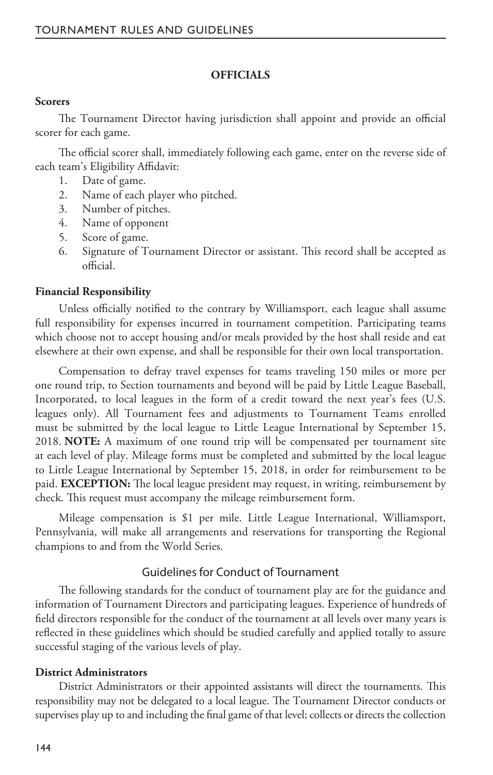#### **OFFICIALS**

#### **Scorers**

The Tournament Director having jurisdiction shall appoint and provide an official scorer for each game.

The official scorer shall, immediately following each game, enter on the reverse side of each team's Eligibility Affidavit:

- 1. Date of game.
- 2. Name of each player who pitched.
- 3. Number of pitches.
- 4. Name of opponent
- 5. Score of game.
- 6. Signature of Tournament Director or assistant. This record shall be accepted as official.

#### **Financial Responsibility**

Unless officially notified to the contrary by Williamsport, each league shall assume full responsibility for expenses incurred in tournament competition. Participating teams which choose not to accept housing and/or meals provided by the host shall reside and eat elsewhere at their own expense, and shall be responsible for their own local transportation.

Compensation to defray travel expenses for teams traveling 150 miles or more per one round trip, to Section tournaments and beyond will be paid by Little League Baseball, Incorporated, to local leagues in the form of a credit toward the next year's fees (U.S. leagues only). All Tournament fees and adjustments to Tournament Teams enrolled must be submitted by the local league to Little League International by September 15, 2018. **NOTE:** A maximum of one round trip will be compensated per tournament site at each level of play. Mileage forms must be completed and submitted by the local league to Little League International by September 15, 2018, in order for reimbursement to be paid. **EXCEPTION:** The local league president may request, in writing, reimbursement by check. This request must accompany the mileage reimbursement form.

Mileage compensation is \$1 per mile. Little League International, Williamsport, Pennsylvania, will make all arrangements and reservations for transporting the Regional champions to and from the World Series.

### Guidelines for Conduct of Tournament

The following standards for the conduct of tournament play are for the guidance and information of Tournament Directors and participating leagues. Experience of hundreds of field directors responsible for the conduct of the tournament at all levels over many years is reflected in these guidelines which should be studied carefully and applied totally to assure successful staging of the various levels of play.

#### **District Administrators**

District Administrators or their appointed assistants will direct the tournaments. This responsibility may not be delegated to a local league. The Tournament Director conducts or supervises play up to and including the final game of that level; collects or directs the collection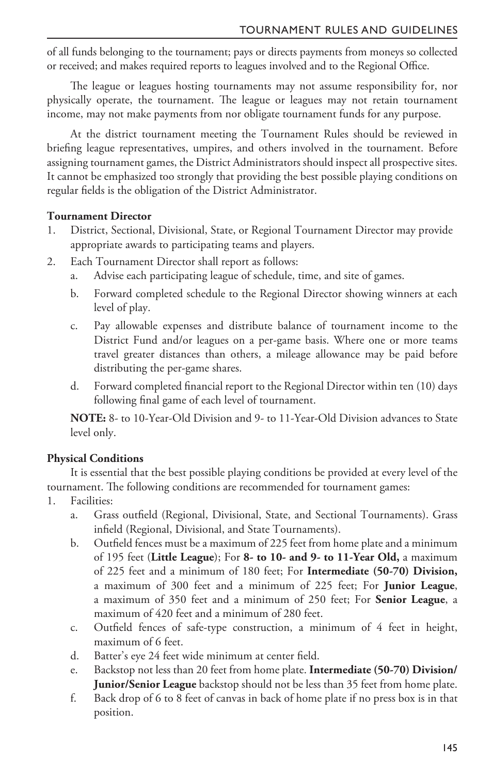of all funds belonging to the tournament; pays or directs payments from moneys so collected or received; and makes required reports to leagues involved and to the Regional Office.

The league or leagues hosting tournaments may not assume responsibility for, nor physically operate, the tournament. The league or leagues may not retain tournament income, may not make payments from nor obligate tournament funds for any purpose.

At the district tournament meeting the Tournament Rules should be reviewed in briefing league representatives, umpires, and others involved in the tournament. Before assigning tournament games, the District Administrators should inspect all prospective sites. It cannot be emphasized too strongly that providing the best possible playing conditions on regular fields is the obligation of the District Administrator.

## **Tournament Director**

- 1. District, Sectional, Divisional, State, or Regional Tournament Director may provide appropriate awards to participating teams and players.
- 2. Each Tournament Director shall report as follows:
	- a. Advise each participating league of schedule, time, and site of games.
	- b. Forward completed schedule to the Regional Director showing winners at each level of play.
	- c. Pay allowable expenses and distribute balance of tournament income to the District Fund and/or leagues on a per-game basis. Where one or more teams travel greater distances than others, a mileage allowance may be paid before distributing the per-game shares.
	- d. Forward completed financial report to the Regional Director within ten (10) days following final game of each level of tournament.

**NOTE:** 8- to 10-Year-Old Division and 9- to 11-Year-Old Division advances to State level only.

# **Physical Conditions**

It is essential that the best possible playing conditions be provided at every level of the tournament. The following conditions are recommended for tournament games:

- 1. Facilities:
	- a. Grass outfield (Regional, Divisional, State, and Sectional Tournaments). Grass infield (Regional, Divisional, and State Tournaments).
	- b. Outfield fences must be a maximum of 225 feet from home plate and a minimum of 195 feet (**Little League**); For **8- to 10- and 9- to 11-Year Old,** a maximum of 225 feet and a minimum of 180 feet; For **Intermediate (50-70) Division,** a maximum of 300 feet and a minimum of 225 feet; For **Junior League**, a maximum of 350 feet and a minimum of 250 feet; For **Senior League**, a maximum of 420 feet and a minimum of 280 feet.
	- c. Outfield fences of safe-type construction, a minimum of 4 feet in height, maximum of 6 feet.
	- d. Batter's eye 24 feet wide minimum at center field.
	- e. Backstop not less than 20 feet from home plate. **Intermediate (50-70) Division/ Junior/Senior League** backstop should not be less than 35 feet from home plate.
	- f. Back drop of 6 to 8 feet of canvas in back of home plate if no press box is in that position.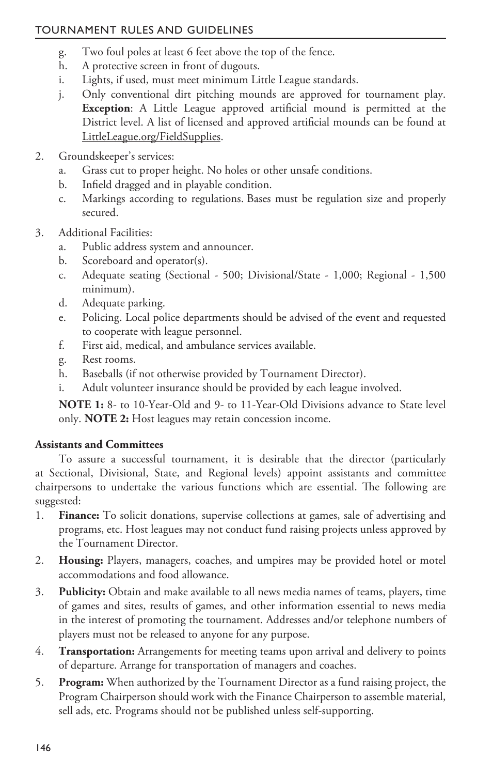- g. Two foul poles at least 6 feet above the top of the fence.
- h. A protective screen in front of dugouts.
- i. Lights, if used, must meet minimum Little League standards.
- j. Only conventional dirt pitching mounds are approved for tournament play. **Exception**: A Little League approved artificial mound is permitted at the District level. A list of licensed and approved artificial mounds can be found at LittleLeague.org/FieldSupplies.
- 2. Groundskeeper's services:
	- a. Grass cut to proper height. No holes or other unsafe conditions.
	- b. Infield dragged and in playable condition.
	- c. Markings according to regulations. Bases must be regulation size and properly secured.
- 3. Additional Facilities:
	- a. Public address system and announcer.
	- b. Scoreboard and operator(s).
	- c. Adequate seating (Sectional 500; Divisional/State 1,000; Regional 1,500 minimum).
	- d. Adequate parking.
	- e. Policing. Local police departments should be advised of the event and requested to cooperate with league personnel.
	- f. First aid, medical, and ambulance services available.
	- g. Rest rooms.
	- h. Baseballs (if not otherwise provided by Tournament Director).
	- i. Adult volunteer insurance should be provided by each league involved.

**NOTE 1:** 8- to 10-Year-Old and 9- to 11-Year-Old Divisions advance to State level only. **NOTE 2:** Host leagues may retain concession income.

## **Assistants and Committees**

To assure a successful tournament, it is desirable that the director (particularly at Sectional, Divisional, State, and Regional levels) appoint assistants and committee chairpersons to undertake the various functions which are essential. The following are suggested:

- 1. **Finance:** To solicit donations, supervise collections at games, sale of advertising and programs, etc. Host leagues may not conduct fund raising projects unless approved by the Tournament Director.
- 2. **Housing:** Players, managers, coaches, and umpires may be provided hotel or motel accommodations and food allowance.
- 3. **Publicity:** Obtain and make available to all news media names of teams, players, time of games and sites, results of games, and other information essential to news media in the interest of promoting the tournament. Addresses and/or telephone numbers of players must not be released to anyone for any purpose.
- 4. **Transportation:** Arrangements for meeting teams upon arrival and delivery to points of departure. Arrange for transportation of managers and coaches.
- 5. **Program:** When authorized by the Tournament Director as a fund raising project, the Program Chairperson should work with the Finance Chairperson to assemble material, sell ads, etc. Programs should not be published unless self-supporting.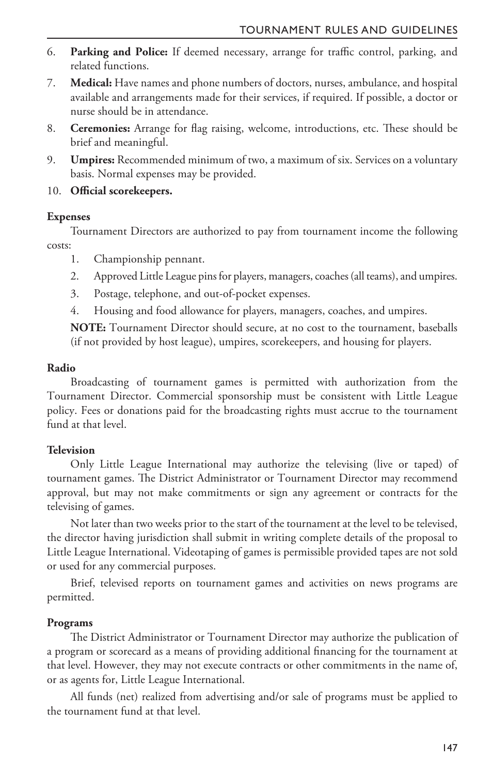- 6. **Parking and Police:** If deemed necessary, arrange for traffic control, parking, and related functions.
- 7. **Medical:** Have names and phone numbers of doctors, nurses, ambulance, and hospital available and arrangements made for their services, if required. If possible, a doctor or nurse should be in attendance.
- 8. **Ceremonies:** Arrange for flag raising, welcome, introductions, etc. These should be brief and meaningful.
- 9. **Umpires:** Recommended minimum of two, a maximum of six. Services on a voluntary basis. Normal expenses may be provided.

### 10. **Official scorekeepers.**

### **Expenses**

Tournament Directors are authorized to pay from tournament income the following costs:

- 1. Championship pennant.
- 2. Approved Little League pins for players, managers, coaches (all teams), and umpires.
- 3. Postage, telephone, and out-of-pocket expenses.
- 4. Housing and food allowance for players, managers, coaches, and umpires.

**NOTE:** Tournament Director should secure, at no cost to the tournament, baseballs (if not provided by host league), umpires, scorekeepers, and housing for players.

### **Radio**

Broadcasting of tournament games is permitted with authorization from the Tournament Director. Commercial sponsorship must be consistent with Little League policy. Fees or donations paid for the broadcasting rights must accrue to the tournament fund at that level.

## **Television**

Only Little League International may authorize the televising (live or taped) of tournament games. The District Administrator or Tournament Director may recommend approval, but may not make commitments or sign any agreement or contracts for the televising of games.

Not later than two weeks prior to the start of the tournament at the level to be televised, the director having jurisdiction shall submit in writing complete details of the proposal to Little League International. Videotaping of games is permissible provided tapes are not sold or used for any commercial purposes.

Brief, televised reports on tournament games and activities on news programs are permitted.

## **Programs**

The District Administrator or Tournament Director may authorize the publication of a program or scorecard as a means of providing additional financing for the tournament at that level. However, they may not execute contracts or other commitments in the name of, or as agents for, Little League International.

All funds (net) realized from advertising and/or sale of programs must be applied to the tournament fund at that level.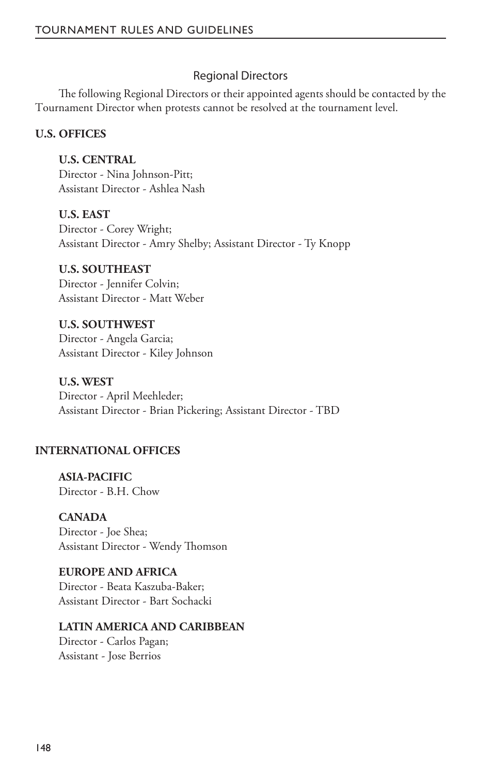# Regional Directors

The following Regional Directors or their appointed agents should be contacted by the Tournament Director when protests cannot be resolved at the tournament level.

## **U.S. OFFICES**

**U.S. CENTRAL** Director - Nina Johnson-Pitt; Assistant Director - Ashlea Nash

**U.S. EAST** Director - Corey Wright; Assistant Director - Amry Shelby; Assistant Director - Ty Knopp

**U.S. SOUTHEAST** Director - Jennifer Colvin; Assistant Director - Matt Weber

**U.S. SOUTHWEST** Director - Angela Garcia; Assistant Director - Kiley Johnson

**U.S. WEST** Director - April Meehleder; Assistant Director - Brian Pickering; Assistant Director - TBD

## **INTERNATIONAL OFFICES**

**ASIA-PACIFIC** Director - B.H. Chow

**CANADA** Director - Joe Shea; Assistant Director - Wendy Thomson

**EUROPE AND AFRICA** Director - Beata Kaszuba-Baker; Assistant Director - Bart Sochacki

**LATIN AMERICA AND CARIBBEAN** Director - Carlos Pagan; Assistant - Jose Berrios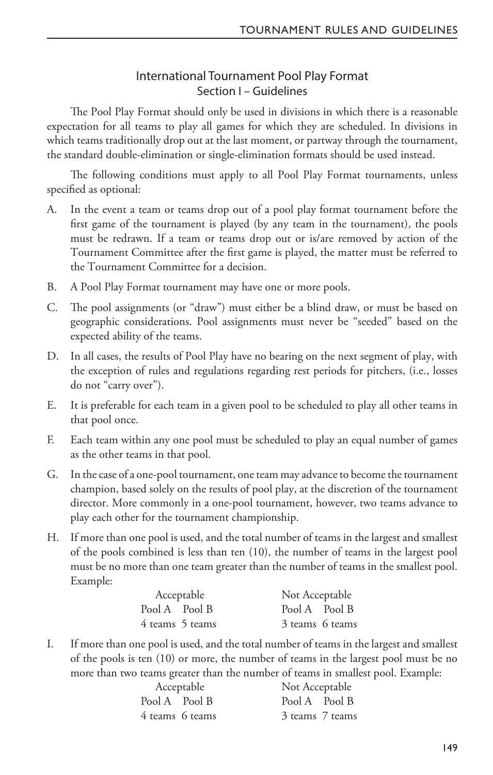# International Tournament Pool Play Format Section I – Guidelines

The Pool Play Format should only be used in divisions in which there is a reasonable expectation for all teams to play all games for which they are scheduled. In divisions in which teams traditionally drop out at the last moment, or partway through the tournament, the standard double-elimination or single-elimination formats should be used instead.

The following conditions must apply to all Pool Play Format tournaments, unless specified as optional:

- A. In the event a team or teams drop out of a pool play format tournament before the first game of the tournament is played (by any team in the tournament), the pools must be redrawn. If a team or teams drop out or is/are removed by action of the Tournament Committee after the first game is played, the matter must be referred to the Tournament Committee for a decision.
- B. A Pool Play Format tournament may have one or more pools.
- C. The pool assignments (or "draw") must either be a blind draw, or must be based on geographic considerations. Pool assignments must never be "seeded" based on the expected ability of the teams.
- D. In all cases, the results of Pool Play have no bearing on the next segment of play, with the exception of rules and regulations regarding rest periods for pitchers, (i.e., losses do not "carry over").
- E. It is preferable for each team in a given pool to be scheduled to play all other teams in that pool once.
- F. Each team within any one pool must be scheduled to play an equal number of games as the other teams in that pool.
- G. In the case of a one-pool tournament, one team may advance to become the tournament champion, based solely on the results of pool play, at the discretion of the tournament director. More commonly in a one-pool tournament, however, two teams advance to play each other for the tournament championship.
- H. If more than one pool is used, and the total number of teams in the largest and smallest of the pools combined is less than ten (10), the number of teams in the largest pool must be no more than one team greater than the number of teams in the smallest pool. Example:

| Acceptable      | Not Acceptable  |  |
|-----------------|-----------------|--|
| Pool A Pool B   | Pool A Pool B   |  |
| 4 teams 5 teams | 3 teams 6 teams |  |

I. If more than one pool is used, and the total number of teams in the largest and smallest of the pools is ten (10) or more, the number of teams in the largest pool must be no more than two teams greater than the number of teams in smallest pool. Example:

| Acceptable      | Not Acceptable  |
|-----------------|-----------------|
| Pool A Pool B   | Pool A Pool B   |
| 4 teams 6 teams | 3 teams 7 teams |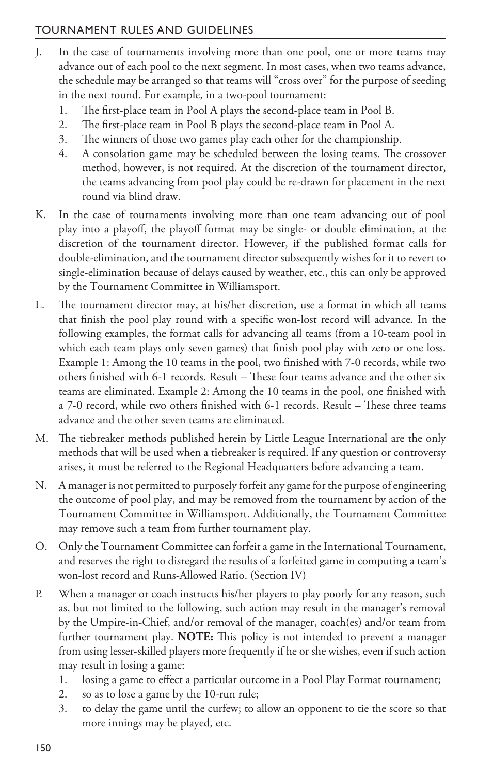- J. In the case of tournaments involving more than one pool, one or more teams may advance out of each pool to the next segment. In most cases, when two teams advance, the schedule may be arranged so that teams will "cross over" for the purpose of seeding in the next round. For example, in a two-pool tournament:
	- 1. The first-place team in Pool A plays the second-place team in Pool B.
	- 2. The first-place team in Pool B plays the second-place team in Pool A.
	- 3. The winners of those two games play each other for the championship.
	- 4. A consolation game may be scheduled between the losing teams. The crossover method, however, is not required. At the discretion of the tournament director, the teams advancing from pool play could be re-drawn for placement in the next round via blind draw.
- K. In the case of tournaments involving more than one team advancing out of pool play into a playoff, the playoff format may be single- or double elimination, at the discretion of the tournament director. However, if the published format calls for double-elimination, and the tournament director subsequently wishes for it to revert to single-elimination because of delays caused by weather, etc., this can only be approved by the Tournament Committee in Williamsport.
- L. The tournament director may, at his/her discretion, use a format in which all teams that finish the pool play round with a specific won-lost record will advance. In the following examples, the format calls for advancing all teams (from a 10-team pool in which each team plays only seven games) that finish pool play with zero or one loss. Example 1: Among the 10 teams in the pool, two finished with 7-0 records, while two others finished with 6-1 records. Result – These four teams advance and the other six teams are eliminated. Example 2: Among the 10 teams in the pool, one finished with a 7-0 record, while two others finished with 6-1 records. Result – These three teams advance and the other seven teams are eliminated.
- M. The tiebreaker methods published herein by Little League International are the only methods that will be used when a tiebreaker is required. If any question or controversy arises, it must be referred to the Regional Headquarters before advancing a team.
- N. A manager is not permitted to purposely forfeit any game for the purpose of engineering the outcome of pool play, and may be removed from the tournament by action of the Tournament Committee in Williamsport. Additionally, the Tournament Committee may remove such a team from further tournament play.
- O. Only the Tournament Committee can forfeit a game in the International Tournament, and reserves the right to disregard the results of a forfeited game in computing a team's won-lost record and Runs-Allowed Ratio. (Section IV)
- P. When a manager or coach instructs his/her players to play poorly for any reason, such as, but not limited to the following, such action may result in the manager's removal by the Umpire-in-Chief, and/or removal of the manager, coach(es) and/or team from further tournament play. **NOTE:** This policy is not intended to prevent a manager from using lesser-skilled players more frequently if he or she wishes, even if such action may result in losing a game:
	- 1. losing a game to effect a particular outcome in a Pool Play Format tournament;
	- 2. so as to lose a game by the 10-run rule;
	- 3. to delay the game until the curfew; to allow an opponent to tie the score so that more innings may be played, etc.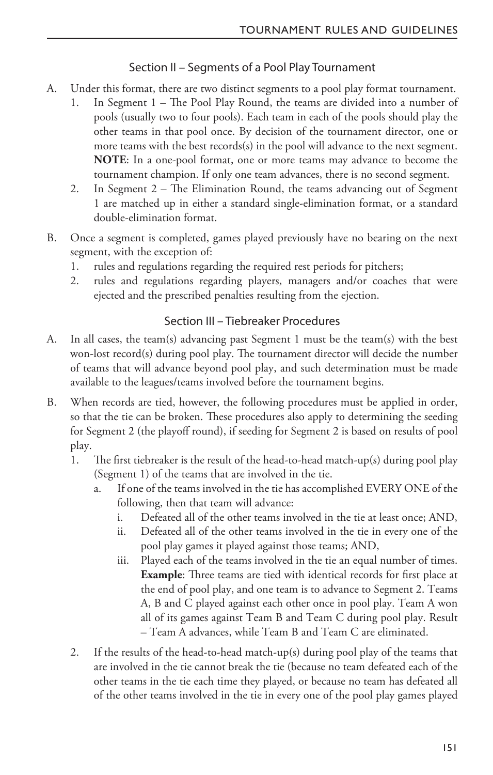# Section II – Segments of a Pool Play Tournament

- A. Under this format, there are two distinct segments to a pool play format tournament.
	- 1. In Segment 1 The Pool Play Round, the teams are divided into a number of pools (usually two to four pools). Each team in each of the pools should play the other teams in that pool once. By decision of the tournament director, one or more teams with the best records(s) in the pool will advance to the next segment. **NOTE**: In a one-pool format, one or more teams may advance to become the tournament champion. If only one team advances, there is no second segment.
	- 2. In Segment 2 The Elimination Round, the teams advancing out of Segment 1 are matched up in either a standard single-elimination format, or a standard double-elimination format.
- B. Once a segment is completed, games played previously have no bearing on the next segment, with the exception of:
	- 1. rules and regulations regarding the required rest periods for pitchers;
	- 2. rules and regulations regarding players, managers and/or coaches that were ejected and the prescribed penalties resulting from the ejection.

## Section III – Tiebreaker Procedures

- A. In all cases, the team(s) advancing past Segment 1 must be the team(s) with the best won-lost record(s) during pool play. The tournament director will decide the number of teams that will advance beyond pool play, and such determination must be made available to the leagues/teams involved before the tournament begins.
- B. When records are tied, however, the following procedures must be applied in order, so that the tie can be broken. These procedures also apply to determining the seeding for Segment 2 (the playoff round), if seeding for Segment 2 is based on results of pool play.
	- 1. The first tiebreaker is the result of the head-to-head match-up(s) during pool play (Segment 1) of the teams that are involved in the tie.
		- a. If one of the teams involved in the tie has accomplished EVERY ONE of the following, then that team will advance:
			- i. Defeated all of the other teams involved in the tie at least once; AND,
			- ii. Defeated all of the other teams involved in the tie in every one of the pool play games it played against those teams; AND,
			- iii. Played each of the teams involved in the tie an equal number of times. **Example**: Three teams are tied with identical records for first place at the end of pool play, and one team is to advance to Segment 2. Teams A, B and C played against each other once in pool play. Team A won all of its games against Team B and Team C during pool play. Result – Team A advances, while Team B and Team C are eliminated.
	- 2. If the results of the head-to-head match-up(s) during pool play of the teams that are involved in the tie cannot break the tie (because no team defeated each of the other teams in the tie each time they played, or because no team has defeated all of the other teams involved in the tie in every one of the pool play games played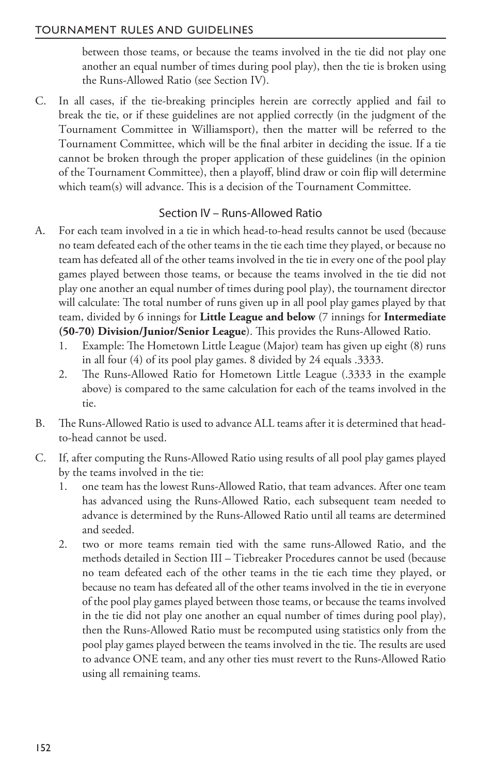between those teams, or because the teams involved in the tie did not play one another an equal number of times during pool play), then the tie is broken using the Runs-Allowed Ratio (see Section IV).

C. In all cases, if the tie-breaking principles herein are correctly applied and fail to break the tie, or if these guidelines are not applied correctly (in the judgment of the Tournament Committee in Williamsport), then the matter will be referred to the Tournament Committee, which will be the final arbiter in deciding the issue. If a tie cannot be broken through the proper application of these guidelines (in the opinion of the Tournament Committee), then a playoff, blind draw or coin flip will determine which team(s) will advance. This is a decision of the Tournament Committee.

# Section IV – Runs-Allowed Ratio

- A. For each team involved in a tie in which head-to-head results cannot be used (because no team defeated each of the other teams in the tie each time they played, or because no team has defeated all of the other teams involved in the tie in every one of the pool play games played between those teams, or because the teams involved in the tie did not play one another an equal number of times during pool play), the tournament director will calculate: The total number of runs given up in all pool play games played by that team, divided by 6 innings for **Little League and below** (7 innings for **Intermediate (50-70) Division/Junior/Senior League**). This provides the Runs-Allowed Ratio.
	- 1. Example: The Hometown Little League (Major) team has given up eight (8) runs in all four (4) of its pool play games. 8 divided by 24 equals .3333.
	- 2. The Runs-Allowed Ratio for Hometown Little League (.3333 in the example above) is compared to the same calculation for each of the teams involved in the tie.
- B. The Runs-Allowed Ratio is used to advance ALL teams after it is determined that headto-head cannot be used.
- C. If, after computing the Runs-Allowed Ratio using results of all pool play games played by the teams involved in the tie:
	- 1. one team has the lowest Runs-Allowed Ratio, that team advances. After one team has advanced using the Runs-Allowed Ratio, each subsequent team needed to advance is determined by the Runs-Allowed Ratio until all teams are determined and seeded.
	- 2. two or more teams remain tied with the same runs-Allowed Ratio, and the methods detailed in Section III – Tiebreaker Procedures cannot be used (because no team defeated each of the other teams in the tie each time they played, or because no team has defeated all of the other teams involved in the tie in everyone of the pool play games played between those teams, or because the teams involved in the tie did not play one another an equal number of times during pool play), then the Runs-Allowed Ratio must be recomputed using statistics only from the pool play games played between the teams involved in the tie. The results are used to advance ONE team, and any other ties must revert to the Runs-Allowed Ratio using all remaining teams.